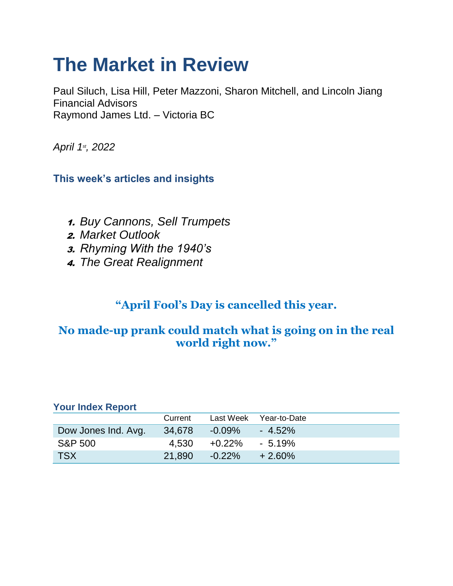# **The Market in Review**

Paul Siluch, Lisa Hill, Peter Mazzoni, Sharon Mitchell, and Lincoln Jiang Financial Advisors Raymond James Ltd. – Victoria BC

*April 1st, 2022*

## **This week's articles and insights**

- 1. *Buy Cannons, Sell Trumpets*
- 2. *Market Outlook*
- 3. *Rhyming With the 1940's*
- 4. *The Great Realignment*

# **"April Fool's Day is cancelled this year.**

# **No made-up prank could match what is going on in the real world right now."**

| <b>Your Index Report</b> |         |           |              |
|--------------------------|---------|-----------|--------------|
|                          | Current | Last Week | Year-to-Date |
| Dow Jones Ind. Avg.      | 34,678  | $-0.09\%$ | $-4.52\%$    |
| <b>S&amp;P 500</b>       | 4.530   | $+0.22\%$ | $-5.19\%$    |
| <b>TSX</b>               | 21.890  | $-0.22\%$ | $+2.60\%$    |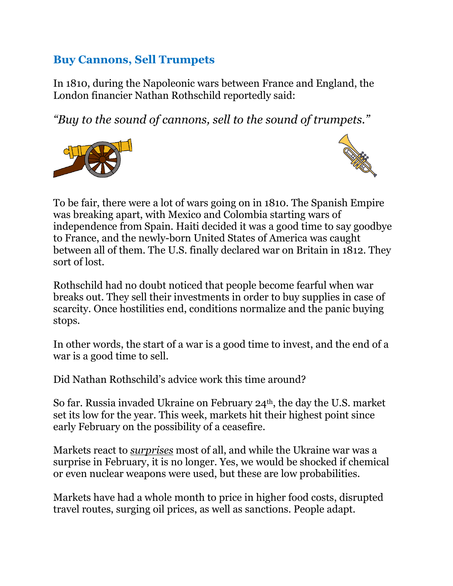# **Buy Cannons, Sell Trumpets**

In 1810, during the Napoleonic wars between France and England, the London financier Nathan Rothschild reportedly said:

*"Buy to the sound of cannons, sell to the sound of trumpets."*





To be fair, there were a lot of wars going on in 1810. The Spanish Empire was breaking apart, with Mexico and Colombia starting wars of independence from Spain. Haiti decided it was a good time to say goodbye to France, and the newly-born United States of America was caught between all of them. The U.S. finally declared war on Britain in 1812. They sort of lost.

Rothschild had no doubt noticed that people become fearful when war breaks out. They sell their investments in order to buy supplies in case of scarcity. Once hostilities end, conditions normalize and the panic buying stops.

In other words, the start of a war is a good time to invest, and the end of a war is a good time to sell.

Did Nathan Rothschild's advice work this time around?

So far. Russia invaded Ukraine on February 24th, the day the U.S. market set its low for the year. This week, markets hit their highest point since early February on the possibility of a ceasefire.

Markets react to *surprises* most of all, and while the Ukraine war was a surprise in February, it is no longer. Yes, we would be shocked if chemical or even nuclear weapons were used, but these are low probabilities.

Markets have had a whole month to price in higher food costs, disrupted travel routes, surging oil prices, as well as sanctions. People adapt.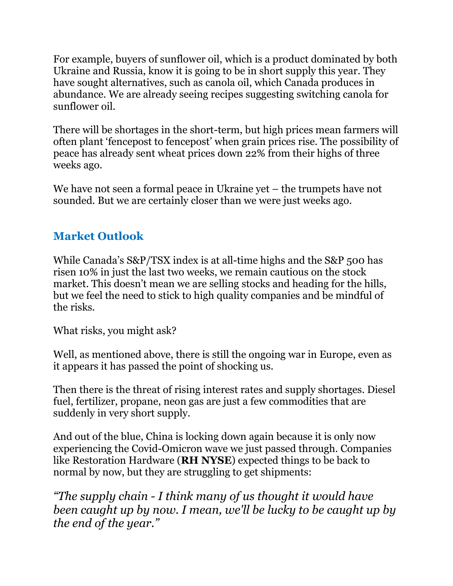For example, buyers of sunflower oil, which is a product dominated by both Ukraine and Russia, know it is going to be in short supply this year. They have sought alternatives, such as canola oil, which Canada produces in abundance. We are already seeing recipes suggesting switching canola for sunflower oil.

There will be shortages in the short-term, but high prices mean farmers will often plant 'fencepost to fencepost' when grain prices rise. The possibility of peace has already sent wheat prices down 22% from their highs of three weeks ago.

We have not seen a formal peace in Ukraine yet – the trumpets have not sounded. But we are certainly closer than we were just weeks ago.

# **Market Outlook**

While Canada's S&P/TSX index is at all-time highs and the S&P 500 has risen 10% in just the last two weeks, we remain cautious on the stock market. This doesn't mean we are selling stocks and heading for the hills, but we feel the need to stick to high quality companies and be mindful of the risks.

What risks, you might ask?

Well, as mentioned above, there is still the ongoing war in Europe, even as it appears it has passed the point of shocking us.

Then there is the threat of rising interest rates and supply shortages. Diesel fuel, fertilizer, propane, neon gas are just a few commodities that are suddenly in very short supply.

And out of the blue, China is locking down again because it is only now experiencing the Covid-Omicron wave we just passed through. Companies like Restoration Hardware (**RH NYSE**) expected things to be back to normal by now, but they are struggling to get shipments:

*"The supply chain - I think many of us thought it would have been caught up by now. I mean, we'll be lucky to be caught up by the end of the year."*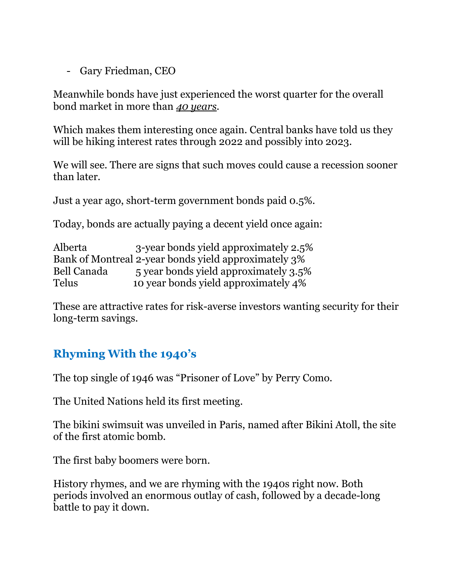- Gary Friedman, CEO

Meanwhile bonds have just experienced the worst quarter for the overall bond market in more than *40 years*.

Which makes them interesting once again. Central banks have told us they will be hiking interest rates through 2022 and possibly into 2023.

We will see. There are signs that such moves could cause a recession sooner than later.

Just a year ago, short-term government bonds paid 0.5%.

Today, bonds are actually paying a decent yield once again:

| Alberta      | 3-year bonds yield approximately 2.5%                |
|--------------|------------------------------------------------------|
|              | Bank of Montreal 2-year bonds yield approximately 3% |
| Bell Canada  | 5 year bonds yield approximately 3.5%                |
| <b>Telus</b> | 10 year bonds yield approximately 4%                 |

These are attractive rates for risk-averse investors wanting security for their long-term savings.

# **Rhyming With the 1940's**

The top single of 1946 was "Prisoner of Love" by Perry Como.

The United Nations held its first meeting.

The bikini swimsuit was unveiled in Paris, named after Bikini Atoll, the site of the first atomic bomb.

The first baby boomers were born.

History rhymes, and we are rhyming with the 1940s right now. Both periods involved an enormous outlay of cash, followed by a decade-long battle to pay it down.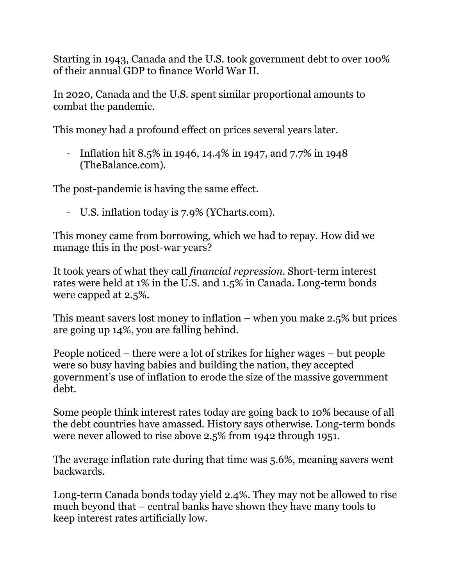Starting in 1943, Canada and the U.S. took government debt to over 100% of their annual GDP to finance World War II.

In 2020, Canada and the U.S. spent similar proportional amounts to combat the pandemic.

This money had a profound effect on prices several years later.

- Inflation hit 8.5% in 1946, 14.4% in 1947, and 7.7% in 1948 (TheBalance.com).

The post-pandemic is having the same effect.

- U.S. inflation today is 7.9% (YCharts.com).

This money came from borrowing, which we had to repay. How did we manage this in the post-war years?

It took years of what they call *financial repression*. Short-term interest rates were held at 1% in the U.S. and 1.5% in Canada. Long-term bonds were capped at 2.5%.

This meant savers lost money to inflation – when you make 2.5% but prices are going up 14%, you are falling behind.

People noticed – there were a lot of strikes for higher wages – but people were so busy having babies and building the nation, they accepted government's use of inflation to erode the size of the massive government debt.

Some people think interest rates today are going back to 10% because of all the debt countries have amassed. History says otherwise. Long-term bonds were never allowed to rise above 2.5% from 1942 through 1951.

The average inflation rate during that time was 5.6%, meaning savers went backwards.

Long-term Canada bonds today yield 2.4%. They may not be allowed to rise much beyond that – central banks have shown they have many tools to keep interest rates artificially low.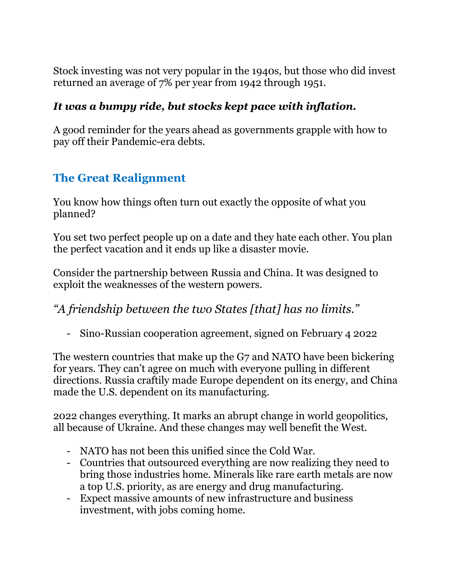Stock investing was not very popular in the 1940s, but those who did invest returned an average of 7% per year from 1942 through 1951.

## *It was a bumpy ride, but stocks kept pace with inflation.*

A good reminder for the years ahead as governments grapple with how to pay off their Pandemic-era debts.

# **The Great Realignment**

You know how things often turn out exactly the opposite of what you planned?

You set two perfect people up on a date and they hate each other. You plan the perfect vacation and it ends up like a disaster movie.

Consider the partnership between Russia and China. It was designed to exploit the weaknesses of the western powers.

*"A friendship between the two States [that] has no limits."* 

- Sino-Russian cooperation agreement, signed on February 4 2022

The western countries that make up the G7 and NATO have been bickering for years. They can't agree on much with everyone pulling in different directions. Russia craftily made Europe dependent on its energy, and China made the U.S. dependent on its manufacturing.

2022 changes everything. It marks an abrupt change in world geopolitics, all because of Ukraine. And these changes may well benefit the West.

- NATO has not been this unified since the Cold War.
- Countries that outsourced everything are now realizing they need to bring those industries home. Minerals like rare earth metals are now a top U.S. priority, as are energy and drug manufacturing.
- Expect massive amounts of new infrastructure and business investment, with jobs coming home.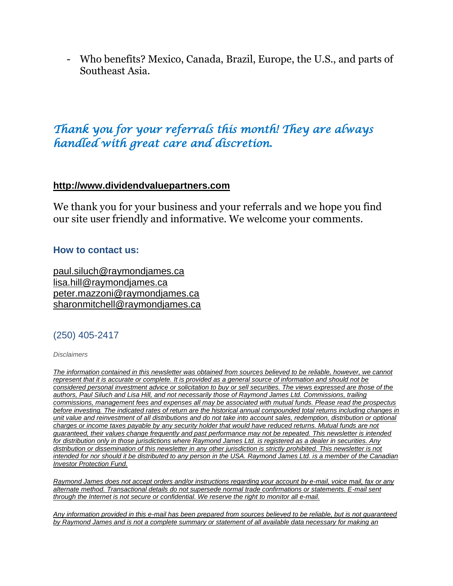- Who benefits? Mexico, Canada, Brazil, Europe, the U.S., and parts of Southeast Asia.

# *Thank you for your referrals this month! They are always handled with great care and discretion.*

### **[http://www.dividendvaluepartners.com](https://na01.safelinks.protection.outlook.com/?url=https%3A%2F%2Furldefense.proofpoint.com%2Fv2%2Furl%3Fu%3Dhttps-3A__na01.safelinks.protection.outlook.com_-3Furl-3Dhttps-253A-252F-252Furldefense.proofpoint.com-252Fv2-252Furl-253Fu-253Dhttps-2D3A-5F-5Fnam11.safelinks.protection.outlook.com-5F-2D3Furl-2D3Dhttps-2D253A-2D252F-2D252Furldefense.proofpoint.com-2D252Fv2-2D252Furl-2D253Fu-2D253Dhttp-2D2D3A-2D5F-2D5Fwww.dividendvaluepartners.com-2D2526d-2D253DDwMFAw-2D2526c-2D253DK3dQCUGiI1B95NJ6cl3GoyhMW2dvBOfimZA-2D2D83UXll0-2D2526r-2D253D-2D5F6MBBSGYsFznIBwslhTiqBKEz4pHUCTd-2D5F9tbh-2D5FEpUMY-2D2526m-2D253DscBAtuMDuWZwK1IVr5YXjdB6aRS-2D2DfaGHAMq3jOn6sJU-2D2526s-2D253DenZqe4ZgcjH-2D5F33x5dT-2D2DvZq9A37d4AhNkXvjc6AbmYww-2D2526e-2D253D-2D26data-2D3D02-2D257C01-2D257C-2D257Cc172461ecbee4482512908d85e8192cf-2D257C84df9e7fe9f640afb435aaaaaaaaaaaa-2D257C1-2D257C0-2D257C637363258183615686-2D26sdata-2D3DewMvepveEmLgP7SL0jTlvLtATqW9IhbJ2C3UL0Em04c-2D253D-2D26reserved-2D3D0-2526d-253DDwMF-2Dg-2526c-253DK3dQCUGiI1B95NJ6cl3GoyhMW2dvBOfimZA-2D83UXll0-2526r-253D-5F6MBBSGYsFznIBwslhTiqBKEz4pHUCTd-5F9tbh-5FEpUMY-2526m-253D7qOaEnVxLdGuCP74qXGTNk9xkBSFm8R3CYYmRfTv9PQ-2526s-253DW8OEBAbaLee5suYwpNsPIikduscCx0SIuOWzAWRhAvc-2526e-253D-26data-3D04-257C01-257C-257Cd7befaa6204e4970b3c708d940d9c59b-257C84df9e7fe9f640afb435aaaaaaaaaaaa-257C1-257C0-257C637612126570747664-257CUnknown-257CTWFpbGZsb3d8eyJWIjoiMC4wLjAwMDAiLCJQIjoiV2luMzIiLCJBTiI6Ik1haWwiLCJXVCI6Mn0-253D-257C1000-26sdata-3DXHDuRL9htcGHCyG2hM-252BdTEOf1Bh8t-252BJ4FZMnSIBO5ik-253D-26reserved-3D0%26d%3DDwMGaQ%26c%3D6lBq1l7u-nYp55J7Pl8O6Ib5YT4g76ov0zCpXQrgS5M%26r%3DTmDOHaoWW3RetfvnGoPae_UczKZXXQgvJPe_P66GVYI%26m%3DHg8p8oxWBi-8j3HS2BzGxBvIXidcreERuI3mj9N1_KY%26s%3Dst9rMvZC9cnEMD4IqMaRfJa_flcWIkk1-2PG6qR-qfE%26e%3D&data=04%7C01%7C%7C96eb5c23f77d45400b0d08d9c04986b6%7C84df9e7fe9f640afb435aaaaaaaaaaaa%7C1%7C0%7C637752244322491119%7CUnknown%7CTWFpbGZsb3d8eyJWIjoiMC4wLjAwMDAiLCJQIjoiV2luMzIiLCJBTiI6Ik1haWwiLCJXVCI6Mn0%3D%7C3000&sdata=AvY77%2BenPPmTOcoV6v6rrLmdoi2uFtE3j3BQE4J4aZc%3D&reserved=0)**

We thank you for your business and your referrals and we hope you find our site user friendly and informative. We welcome your comments.

#### **How to contact us:**

[paul.siluch@raymondjames.ca](https://na01.safelinks.protection.outlook.com/?url=https%3A%2F%2Furldefense.proofpoint.com%2Fv2%2Furl%3Fu%3Dhttps-3A__na01.safelinks.protection.outlook.com_-3Furl-3Dhttps-253A-252F-252Furldefense.proofpoint.com-252Fv2-252Furl-253Fu-253Dhttps-2D3A-5F-5Fnam11.safelinks.protection.outlook.com-5F-2D3Furl-2D3Dhttps-2D253A-2D252F-2D252Fowa-2D2Dkel.raymondjames.ca-2D252Fowa-2D252Fredir.aspx-2D253FSURL-2D253Dz0BxOCXDlQ-2D2DAad1f-2D5Fa9igaARxm5Rd1VXE7UcmD4mZ3IZiacj7DPTCG0AYQBpAGwAdABvADoAcABhAHUAbAAuAHMAaQBsAHUAYwBoAEAAcgBhAHkAbQBvAG4AZABqAGEAbQBlAHMALgBjAGEA-2D2526URL-2D253Dmailto-2D25253apaul.siluch-2D252540raymondjames.ca-2D26data-2D3D02-2D257C01-2D257C-2D257Cc172461ecbee4482512908d85e8192cf-2D257C84df9e7fe9f640afb435aaaaaaaaaaaa-2D257C1-2D257C0-2D257C637363258183625679-2D26sdata-2D3DHJ7PtuamH3ey-2D252Bis0LQS7WLUtHpHoAnxnHrYxprmWKn4-2D253D-2D26reserved-2D3D0-2526d-253DDwMF-2Dg-2526c-253DK3dQCUGiI1B95NJ6cl3GoyhMW2dvBOfimZA-2D83UXll0-2526r-253D-5F6MBBSGYsFznIBwslhTiqBKEz4pHUCTd-5F9tbh-5FEpUMY-2526m-253D7qOaEnVxLdGuCP74qXGTNk9xkBSFm8R3CYYmRfTv9PQ-2526s-253DTKyIHrHn9jy3BGThbM3t6qa96Jt8NZSlnsJ21h5JIRM-2526e-253D-26data-3D04-257C01-257C-257Cd7befaa6204e4970b3c708d940d9c59b-257C84df9e7fe9f640afb435aaaaaaaaaaaa-257C1-257C0-257C637612126570757658-257CUnknown-257CTWFpbGZsb3d8eyJWIjoiMC4wLjAwMDAiLCJQIjoiV2luMzIiLCJBTiI6Ik1haWwiLCJXVCI6Mn0-253D-257C1000-26sdata-3DtSsTaE4gEuMLlAfRWRmi27n2azhUH-252FJQmjG-252FZzaiK5c-253D-26reserved-3D0%26d%3DDwMGaQ%26c%3D6lBq1l7u-nYp55J7Pl8O6Ib5YT4g76ov0zCpXQrgS5M%26r%3DTmDOHaoWW3RetfvnGoPae_UczKZXXQgvJPe_P66GVYI%26m%3DHg8p8oxWBi-8j3HS2BzGxBvIXidcreERuI3mj9N1_KY%26s%3DjmLVDhJSd1TJ4bMBNqpGj99vIekOC2VHC3jJMzP02hU%26e%3D&data=04%7C01%7C%7C96eb5c23f77d45400b0d08d9c04986b6%7C84df9e7fe9f640afb435aaaaaaaaaaaa%7C1%7C0%7C637752244322501116%7CUnknown%7CTWFpbGZsb3d8eyJWIjoiMC4wLjAwMDAiLCJQIjoiV2luMzIiLCJBTiI6Ik1haWwiLCJXVCI6Mn0%3D%7C3000&sdata=sZ7D4j%2B%2FU6%2B4Cz4%2FTSaoWD6JxvNh0FZMaEwnhYc0png%3D&reserved=0) [lisa.hill@raymondjames.ca](https://na01.safelinks.protection.outlook.com/?url=https%3A%2F%2Furldefense.proofpoint.com%2Fv2%2Furl%3Fu%3Dhttps-3A__na01.safelinks.protection.outlook.com_-3Furl-3Dhttps-253A-252F-252Furldefense.proofpoint.com-252Fv2-252Furl-253Fu-253Dhttps-2D3A-5F-5Fnam11.safelinks.protection.outlook.com-5F-2D3Furl-2D3Dhttps-2D253A-2D252F-2D252Fowa-2D2Dkel.raymondjames.ca-2D252Fowa-2D252Fredir.aspx-2D253FSURL-2D253DglaBgdTdxPMFpiw4eumg-2D2DPzZXpo9vJyObrXLs1TKtIAZiacj7DPTCG0AYQBpAGwAdABvADoAbABpAHMAYQAuAGgAaQBsAGwAQAByAGEAeQBtAG8AbgBkAGoAYQBtAGUAcwAuAGMAYQA.-2D2526URL-2D253Dmailto-2D25253alisa.hill-2D252540raymondjames.ca-2D26data-2D3D02-2D257C01-2D257C-2D257Cc172461ecbee4482512908d85e8192cf-2D257C84df9e7fe9f640afb435aaaaaaaaaaaa-2D257C1-2D257C0-2D257C637363258183625679-2D26sdata-2D3DlqUdr0V-2D252Bbj4LaURrM2MSPIDvGfk5bLYx0U1BkRoTrH4-2D253D-2D26reserved-2D3D0-2526d-253DDwMF-2Dg-2526c-253DK3dQCUGiI1B95NJ6cl3GoyhMW2dvBOfimZA-2D83UXll0-2526r-253D-5F6MBBSGYsFznIBwslhTiqBKEz4pHUCTd-5F9tbh-5FEpUMY-2526m-253D7qOaEnVxLdGuCP74qXGTNk9xkBSFm8R3CYYmRfTv9PQ-2526s-253Dc8alCSC-2Db4YnoP6-2D1kuPw-5FKdDfdlIvu8oQ-5Fwi3WtrQw-2526e-253D-26data-3D04-257C01-257C-257Cd7befaa6204e4970b3c708d940d9c59b-257C84df9e7fe9f640afb435aaaaaaaaaaaa-257C1-257C0-257C637612126570767658-257CUnknown-257CTWFpbGZsb3d8eyJWIjoiMC4wLjAwMDAiLCJQIjoiV2luMzIiLCJBTiI6Ik1haWwiLCJXVCI6Mn0-253D-257C1000-26sdata-3DmbkMF6OZzdEQL5epcHGHh3oDqQhUOkTuKZIDl6XG-252FdU-253D-26reserved-3D0%26d%3DDwMGaQ%26c%3D6lBq1l7u-nYp55J7Pl8O6Ib5YT4g76ov0zCpXQrgS5M%26r%3DTmDOHaoWW3RetfvnGoPae_UczKZXXQgvJPe_P66GVYI%26m%3DHg8p8oxWBi-8j3HS2BzGxBvIXidcreERuI3mj9N1_KY%26s%3DPBdSi3I-fggf2z2DNlsTu3IuS77Mx_WOJqyL2HH0698%26e%3D&data=04%7C01%7C%7C96eb5c23f77d45400b0d08d9c04986b6%7C84df9e7fe9f640afb435aaaaaaaaaaaa%7C1%7C0%7C637752244322511109%7CUnknown%7CTWFpbGZsb3d8eyJWIjoiMC4wLjAwMDAiLCJQIjoiV2luMzIiLCJBTiI6Ik1haWwiLCJXVCI6Mn0%3D%7C3000&sdata=U1WwVV7wLLUWf%2Fne15%2FVo06iIsBqkYR7zM6XwNxwDz8%3D&reserved=0) [peter.mazzoni@raymondjames.ca](https://na01.safelinks.protection.outlook.com/?url=https%3A%2F%2Furldefense.proofpoint.com%2Fv2%2Furl%3Fu%3Dhttps-3A__na01.safelinks.protection.outlook.com_-3Furl-3Dhttps-253A-252F-252Furldefense.proofpoint.com-252Fv2-252Furl-253Fu-253Dhttps-2D3A-5F-5Fnam11.safelinks.protection.outlook.com-5F-2D3Furl-2D3Dhttps-2D253A-2D252F-2D252Fowa-2D2Dkel.raymondjames.ca-2D252Fowa-2D252Fredir.aspx-2D253FSURL-2D253D3c7mDL9-2D2DcZxYXt7CvkOu20QVFy1WCaDQxUZ3BQE6vecZiacj7DPTCG0AYQBpAGwAdABvADoAcABlAHQAZQByAC4AbQBhAHoAegBvAG4AaQBAAHIAYQB5AG0AbwBuAGQAagBhAG0AZQBzAC4AYwBhAA..-2D2526URL-2D253Dmailto-2D25253apeter.mazzoni-2D252540raymondjames.ca-2D26data-2D3D02-2D257C01-2D257C-2D257Cc172461ecbee4482512908d85e8192cf-2D257C84df9e7fe9f640afb435aaaaaaaaaaaa-2D257C1-2D257C0-2D257C637363258183635674-2D26sdata-2D3D1suYGaoqcgH5k419ERrAlAGzpG-2D252BufP-2D252FAE-2D252FdOZxq8Cus-2D253D-2D26reserved-2D3D0-2526d-253DDwMF-2Dg-2526c-253DK3dQCUGiI1B95NJ6cl3GoyhMW2dvBOfimZA-2D83UXll0-2526r-253D-5F6MBBSGYsFznIBwslhTiqBKEz4pHUCTd-5F9tbh-5FEpUMY-2526m-253D7qOaEnVxLdGuCP74qXGTNk9xkBSFm8R3CYYmRfTv9PQ-2526s-253Dmwchq7c2WnuY-2DoLgiUBkMdFmrEXBtoSxe2YfSBkWXZU-2526e-253D-26data-3D04-257C01-257C-257Cd7befaa6204e4970b3c708d940d9c59b-257C84df9e7fe9f640afb435aaaaaaaaaaaa-257C1-257C0-257C637612126570777650-257CUnknown-257CTWFpbGZsb3d8eyJWIjoiMC4wLjAwMDAiLCJQIjoiV2luMzIiLCJBTiI6Ik1haWwiLCJXVCI6Mn0-253D-257C1000-26sdata-3DnVeeP1CL6-252FQeO1CpTWrrGxPY-252BWQV32hyGVF1TIeO-252FEU-253D-26reserved-3D0%26d%3DDwMGaQ%26c%3D6lBq1l7u-nYp55J7Pl8O6Ib5YT4g76ov0zCpXQrgS5M%26r%3DTmDOHaoWW3RetfvnGoPae_UczKZXXQgvJPe_P66GVYI%26m%3DHg8p8oxWBi-8j3HS2BzGxBvIXidcreERuI3mj9N1_KY%26s%3D38-c1IfAWv_rfunMKvnx7Jqt8ZX1mxyCR_xrJrr2Dt8%26e%3D&data=04%7C01%7C%7C96eb5c23f77d45400b0d08d9c04986b6%7C84df9e7fe9f640afb435aaaaaaaaaaaa%7C1%7C0%7C637752244322521106%7CUnknown%7CTWFpbGZsb3d8eyJWIjoiMC4wLjAwMDAiLCJQIjoiV2luMzIiLCJBTiI6Ik1haWwiLCJXVCI6Mn0%3D%7C3000&sdata=eXrsUXdFH3ZYcZ4QBwCKR8SJkvIYQDte%2BV8mnbbo%2FNg%3D&reserved=0) [sharonmitchell@raymondjames.ca](mailto:sharonmitchell@raymondjames.ca)

#### (250) 405-2417

*Disclaimers*

*[The information contained in this newsletter was obtained from sources believed to be reliable, however, we cannot](https://na01.safelinks.protection.outlook.com/?url=https%3A%2F%2Furldefense.proofpoint.com%2Fv2%2Furl%3Fu%3Dhttps-3A__na01.safelinks.protection.outlook.com_-3Furl-3Dhttps-253A-252F-252Furldefense.proofpoint.com-252Fv2-252Furl-253Fu-253Dhttps-2D3A-5F-5Fnam11.safelinks.protection.outlook.com-5F-2D3Furl-2D3Dhttps-2D253A-2D252F-2D252Fowa-2D2Dkel.raymondjames.ca-2D252Fowa-2D252Fredir.aspx-2D253FSURL-2D253Dz0BxOCXDlQ-2D2DAad1f-2D5Fa9igaARxm5Rd1VXE7UcmD4mZ3IZiacj7DPTCG0AYQBpAGwAdABvADoAcABhAHUAbAAuAHMAaQBsAHUAYwBoAEAAcgBhAHkAbQBvAG4AZABqAGEAbQBlAHMALgBjAGEA-2D2526URL-2D253Dmailto-2D25253apaul.siluch-2D252540raymondjames.ca-2D26data-2D3D02-2D257C01-2D257C-2D257Cc172461ecbee4482512908d85e8192cf-2D257C84df9e7fe9f640afb435aaaaaaaaaaaa-2D257C1-2D257C0-2D257C637363258183635674-2D26sdata-2D3DYxnEd1j-2D252BPKZ7O-2D252BaYYWd4rEqnA-2D252FsZJqXh5i43hxevA-2D252Bk-2D253D-2D26reserved-2D3D0-2526d-253DDwMF-2Dg-2526c-253DK3dQCUGiI1B95NJ6cl3GoyhMW2dvBOfimZA-2D83UXll0-2526r-253D-5F6MBBSGYsFznIBwslhTiqBKEz4pHUCTd-5F9tbh-5FEpUMY-2526m-253D7qOaEnVxLdGuCP74qXGTNk9xkBSFm8R3CYYmRfTv9PQ-2526s-253DnStAVPWry0CYI3VlF6rPrM0m6uEmVBMWcLnjvw4FcOQ-2526e-253D-26data-3D04-257C01-257C-257Cd7befaa6204e4970b3c708d940d9c59b-257C84df9e7fe9f640afb435aaaaaaaaaaaa-257C1-257C0-257C637612126570777650-257CUnknown-257CTWFpbGZsb3d8eyJWIjoiMC4wLjAwMDAiLCJQIjoiV2luMzIiLCJBTiI6Ik1haWwiLCJXVCI6Mn0-253D-257C1000-26sdata-3DM49ZXdnspSFZQrK596fbGTlretjh3YLak2zax0lTRhA-253D-26reserved-3D0%26d%3DDwMGaQ%26c%3D6lBq1l7u-nYp55J7Pl8O6Ib5YT4g76ov0zCpXQrgS5M%26r%3DTmDOHaoWW3RetfvnGoPae_UczKZXXQgvJPe_P66GVYI%26m%3DHg8p8oxWBi-8j3HS2BzGxBvIXidcreERuI3mj9N1_KY%26s%3DcHHP8E9p-dpaWlcpnlZpqEr5EDq5pp8nszhdjMVBqLQ%26e%3D&data=04%7C01%7C%7C96eb5c23f77d45400b0d08d9c04986b6%7C84df9e7fe9f640afb435aaaaaaaaaaaa%7C1%7C0%7C637752244322531100%7CUnknown%7CTWFpbGZsb3d8eyJWIjoiMC4wLjAwMDAiLCJQIjoiV2luMzIiLCJBTiI6Ik1haWwiLCJXVCI6Mn0%3D%7C3000&sdata=IOWgM6HBm%2BEybcpihvxUsdyDQXvn5YirVzSXUwnElj4%3D&reserved=0)  represent that it is accurate or complete. It is provided as a general source of information and should not be [considered personal investment advice or solicitation to buy or sell securities. The views expressed are those of the](https://na01.safelinks.protection.outlook.com/?url=https%3A%2F%2Furldefense.proofpoint.com%2Fv2%2Furl%3Fu%3Dhttps-3A__na01.safelinks.protection.outlook.com_-3Furl-3Dhttps-253A-252F-252Furldefense.proofpoint.com-252Fv2-252Furl-253Fu-253Dhttps-2D3A-5F-5Fnam11.safelinks.protection.outlook.com-5F-2D3Furl-2D3Dhttps-2D253A-2D252F-2D252Fowa-2D2Dkel.raymondjames.ca-2D252Fowa-2D252Fredir.aspx-2D253FSURL-2D253Dz0BxOCXDlQ-2D2DAad1f-2D5Fa9igaARxm5Rd1VXE7UcmD4mZ3IZiacj7DPTCG0AYQBpAGwAdABvADoAcABhAHUAbAAuAHMAaQBsAHUAYwBoAEAAcgBhAHkAbQBvAG4AZABqAGEAbQBlAHMALgBjAGEA-2D2526URL-2D253Dmailto-2D25253apaul.siluch-2D252540raymondjames.ca-2D26data-2D3D02-2D257C01-2D257C-2D257Cc172461ecbee4482512908d85e8192cf-2D257C84df9e7fe9f640afb435aaaaaaaaaaaa-2D257C1-2D257C0-2D257C637363258183635674-2D26sdata-2D3DYxnEd1j-2D252BPKZ7O-2D252BaYYWd4rEqnA-2D252FsZJqXh5i43hxevA-2D252Bk-2D253D-2D26reserved-2D3D0-2526d-253DDwMF-2Dg-2526c-253DK3dQCUGiI1B95NJ6cl3GoyhMW2dvBOfimZA-2D83UXll0-2526r-253D-5F6MBBSGYsFznIBwslhTiqBKEz4pHUCTd-5F9tbh-5FEpUMY-2526m-253D7qOaEnVxLdGuCP74qXGTNk9xkBSFm8R3CYYmRfTv9PQ-2526s-253DnStAVPWry0CYI3VlF6rPrM0m6uEmVBMWcLnjvw4FcOQ-2526e-253D-26data-3D04-257C01-257C-257Cd7befaa6204e4970b3c708d940d9c59b-257C84df9e7fe9f640afb435aaaaaaaaaaaa-257C1-257C0-257C637612126570777650-257CUnknown-257CTWFpbGZsb3d8eyJWIjoiMC4wLjAwMDAiLCJQIjoiV2luMzIiLCJBTiI6Ik1haWwiLCJXVCI6Mn0-253D-257C1000-26sdata-3DM49ZXdnspSFZQrK596fbGTlretjh3YLak2zax0lTRhA-253D-26reserved-3D0%26d%3DDwMGaQ%26c%3D6lBq1l7u-nYp55J7Pl8O6Ib5YT4g76ov0zCpXQrgS5M%26r%3DTmDOHaoWW3RetfvnGoPae_UczKZXXQgvJPe_P66GVYI%26m%3DHg8p8oxWBi-8j3HS2BzGxBvIXidcreERuI3mj9N1_KY%26s%3DcHHP8E9p-dpaWlcpnlZpqEr5EDq5pp8nszhdjMVBqLQ%26e%3D&data=04%7C01%7C%7C96eb5c23f77d45400b0d08d9c04986b6%7C84df9e7fe9f640afb435aaaaaaaaaaaa%7C1%7C0%7C637752244322531100%7CUnknown%7CTWFpbGZsb3d8eyJWIjoiMC4wLjAwMDAiLCJQIjoiV2luMzIiLCJBTiI6Ik1haWwiLCJXVCI6Mn0%3D%7C3000&sdata=IOWgM6HBm%2BEybcpihvxUsdyDQXvn5YirVzSXUwnElj4%3D&reserved=0)  [authors, Paul Siluch and Lisa Hill, and not necessarily those of Raymond James Ltd. Commissions, trailing](https://na01.safelinks.protection.outlook.com/?url=https%3A%2F%2Furldefense.proofpoint.com%2Fv2%2Furl%3Fu%3Dhttps-3A__na01.safelinks.protection.outlook.com_-3Furl-3Dhttps-253A-252F-252Furldefense.proofpoint.com-252Fv2-252Furl-253Fu-253Dhttps-2D3A-5F-5Fnam11.safelinks.protection.outlook.com-5F-2D3Furl-2D3Dhttps-2D253A-2D252F-2D252Fowa-2D2Dkel.raymondjames.ca-2D252Fowa-2D252Fredir.aspx-2D253FSURL-2D253Dz0BxOCXDlQ-2D2DAad1f-2D5Fa9igaARxm5Rd1VXE7UcmD4mZ3IZiacj7DPTCG0AYQBpAGwAdABvADoAcABhAHUAbAAuAHMAaQBsAHUAYwBoAEAAcgBhAHkAbQBvAG4AZABqAGEAbQBlAHMALgBjAGEA-2D2526URL-2D253Dmailto-2D25253apaul.siluch-2D252540raymondjames.ca-2D26data-2D3D02-2D257C01-2D257C-2D257Cc172461ecbee4482512908d85e8192cf-2D257C84df9e7fe9f640afb435aaaaaaaaaaaa-2D257C1-2D257C0-2D257C637363258183635674-2D26sdata-2D3DYxnEd1j-2D252BPKZ7O-2D252BaYYWd4rEqnA-2D252FsZJqXh5i43hxevA-2D252Bk-2D253D-2D26reserved-2D3D0-2526d-253DDwMF-2Dg-2526c-253DK3dQCUGiI1B95NJ6cl3GoyhMW2dvBOfimZA-2D83UXll0-2526r-253D-5F6MBBSGYsFznIBwslhTiqBKEz4pHUCTd-5F9tbh-5FEpUMY-2526m-253D7qOaEnVxLdGuCP74qXGTNk9xkBSFm8R3CYYmRfTv9PQ-2526s-253DnStAVPWry0CYI3VlF6rPrM0m6uEmVBMWcLnjvw4FcOQ-2526e-253D-26data-3D04-257C01-257C-257Cd7befaa6204e4970b3c708d940d9c59b-257C84df9e7fe9f640afb435aaaaaaaaaaaa-257C1-257C0-257C637612126570777650-257CUnknown-257CTWFpbGZsb3d8eyJWIjoiMC4wLjAwMDAiLCJQIjoiV2luMzIiLCJBTiI6Ik1haWwiLCJXVCI6Mn0-253D-257C1000-26sdata-3DM49ZXdnspSFZQrK596fbGTlretjh3YLak2zax0lTRhA-253D-26reserved-3D0%26d%3DDwMGaQ%26c%3D6lBq1l7u-nYp55J7Pl8O6Ib5YT4g76ov0zCpXQrgS5M%26r%3DTmDOHaoWW3RetfvnGoPae_UczKZXXQgvJPe_P66GVYI%26m%3DHg8p8oxWBi-8j3HS2BzGxBvIXidcreERuI3mj9N1_KY%26s%3DcHHP8E9p-dpaWlcpnlZpqEr5EDq5pp8nszhdjMVBqLQ%26e%3D&data=04%7C01%7C%7C96eb5c23f77d45400b0d08d9c04986b6%7C84df9e7fe9f640afb435aaaaaaaaaaaa%7C1%7C0%7C637752244322531100%7CUnknown%7CTWFpbGZsb3d8eyJWIjoiMC4wLjAwMDAiLCJQIjoiV2luMzIiLCJBTiI6Ik1haWwiLCJXVCI6Mn0%3D%7C3000&sdata=IOWgM6HBm%2BEybcpihvxUsdyDQXvn5YirVzSXUwnElj4%3D&reserved=0)  [commissions, management fees and expenses all may be associated with mutual funds. Please read the prospectus](https://na01.safelinks.protection.outlook.com/?url=https%3A%2F%2Furldefense.proofpoint.com%2Fv2%2Furl%3Fu%3Dhttps-3A__na01.safelinks.protection.outlook.com_-3Furl-3Dhttps-253A-252F-252Furldefense.proofpoint.com-252Fv2-252Furl-253Fu-253Dhttps-2D3A-5F-5Fnam11.safelinks.protection.outlook.com-5F-2D3Furl-2D3Dhttps-2D253A-2D252F-2D252Fowa-2D2Dkel.raymondjames.ca-2D252Fowa-2D252Fredir.aspx-2D253FSURL-2D253Dz0BxOCXDlQ-2D2DAad1f-2D5Fa9igaARxm5Rd1VXE7UcmD4mZ3IZiacj7DPTCG0AYQBpAGwAdABvADoAcABhAHUAbAAuAHMAaQBsAHUAYwBoAEAAcgBhAHkAbQBvAG4AZABqAGEAbQBlAHMALgBjAGEA-2D2526URL-2D253Dmailto-2D25253apaul.siluch-2D252540raymondjames.ca-2D26data-2D3D02-2D257C01-2D257C-2D257Cc172461ecbee4482512908d85e8192cf-2D257C84df9e7fe9f640afb435aaaaaaaaaaaa-2D257C1-2D257C0-2D257C637363258183635674-2D26sdata-2D3DYxnEd1j-2D252BPKZ7O-2D252BaYYWd4rEqnA-2D252FsZJqXh5i43hxevA-2D252Bk-2D253D-2D26reserved-2D3D0-2526d-253DDwMF-2Dg-2526c-253DK3dQCUGiI1B95NJ6cl3GoyhMW2dvBOfimZA-2D83UXll0-2526r-253D-5F6MBBSGYsFznIBwslhTiqBKEz4pHUCTd-5F9tbh-5FEpUMY-2526m-253D7qOaEnVxLdGuCP74qXGTNk9xkBSFm8R3CYYmRfTv9PQ-2526s-253DnStAVPWry0CYI3VlF6rPrM0m6uEmVBMWcLnjvw4FcOQ-2526e-253D-26data-3D04-257C01-257C-257Cd7befaa6204e4970b3c708d940d9c59b-257C84df9e7fe9f640afb435aaaaaaaaaaaa-257C1-257C0-257C637612126570777650-257CUnknown-257CTWFpbGZsb3d8eyJWIjoiMC4wLjAwMDAiLCJQIjoiV2luMzIiLCJBTiI6Ik1haWwiLCJXVCI6Mn0-253D-257C1000-26sdata-3DM49ZXdnspSFZQrK596fbGTlretjh3YLak2zax0lTRhA-253D-26reserved-3D0%26d%3DDwMGaQ%26c%3D6lBq1l7u-nYp55J7Pl8O6Ib5YT4g76ov0zCpXQrgS5M%26r%3DTmDOHaoWW3RetfvnGoPae_UczKZXXQgvJPe_P66GVYI%26m%3DHg8p8oxWBi-8j3HS2BzGxBvIXidcreERuI3mj9N1_KY%26s%3DcHHP8E9p-dpaWlcpnlZpqEr5EDq5pp8nszhdjMVBqLQ%26e%3D&data=04%7C01%7C%7C96eb5c23f77d45400b0d08d9c04986b6%7C84df9e7fe9f640afb435aaaaaaaaaaaa%7C1%7C0%7C637752244322531100%7CUnknown%7CTWFpbGZsb3d8eyJWIjoiMC4wLjAwMDAiLCJQIjoiV2luMzIiLCJBTiI6Ik1haWwiLCJXVCI6Mn0%3D%7C3000&sdata=IOWgM6HBm%2BEybcpihvxUsdyDQXvn5YirVzSXUwnElj4%3D&reserved=0)  before investing. The [indicated rates of return are the historical annual compounded total returns including changes in](https://na01.safelinks.protection.outlook.com/?url=https%3A%2F%2Furldefense.proofpoint.com%2Fv2%2Furl%3Fu%3Dhttps-3A__na01.safelinks.protection.outlook.com_-3Furl-3Dhttps-253A-252F-252Furldefense.proofpoint.com-252Fv2-252Furl-253Fu-253Dhttps-2D3A-5F-5Fnam11.safelinks.protection.outlook.com-5F-2D3Furl-2D3Dhttps-2D253A-2D252F-2D252Fowa-2D2Dkel.raymondjames.ca-2D252Fowa-2D252Fredir.aspx-2D253FSURL-2D253Dz0BxOCXDlQ-2D2DAad1f-2D5Fa9igaARxm5Rd1VXE7UcmD4mZ3IZiacj7DPTCG0AYQBpAGwAdABvADoAcABhAHUAbAAuAHMAaQBsAHUAYwBoAEAAcgBhAHkAbQBvAG4AZABqAGEAbQBlAHMALgBjAGEA-2D2526URL-2D253Dmailto-2D25253apaul.siluch-2D252540raymondjames.ca-2D26data-2D3D02-2D257C01-2D257C-2D257Cc172461ecbee4482512908d85e8192cf-2D257C84df9e7fe9f640afb435aaaaaaaaaaaa-2D257C1-2D257C0-2D257C637363258183635674-2D26sdata-2D3DYxnEd1j-2D252BPKZ7O-2D252BaYYWd4rEqnA-2D252FsZJqXh5i43hxevA-2D252Bk-2D253D-2D26reserved-2D3D0-2526d-253DDwMF-2Dg-2526c-253DK3dQCUGiI1B95NJ6cl3GoyhMW2dvBOfimZA-2D83UXll0-2526r-253D-5F6MBBSGYsFznIBwslhTiqBKEz4pHUCTd-5F9tbh-5FEpUMY-2526m-253D7qOaEnVxLdGuCP74qXGTNk9xkBSFm8R3CYYmRfTv9PQ-2526s-253DnStAVPWry0CYI3VlF6rPrM0m6uEmVBMWcLnjvw4FcOQ-2526e-253D-26data-3D04-257C01-257C-257Cd7befaa6204e4970b3c708d940d9c59b-257C84df9e7fe9f640afb435aaaaaaaaaaaa-257C1-257C0-257C637612126570777650-257CUnknown-257CTWFpbGZsb3d8eyJWIjoiMC4wLjAwMDAiLCJQIjoiV2luMzIiLCJBTiI6Ik1haWwiLCJXVCI6Mn0-253D-257C1000-26sdata-3DM49ZXdnspSFZQrK596fbGTlretjh3YLak2zax0lTRhA-253D-26reserved-3D0%26d%3DDwMGaQ%26c%3D6lBq1l7u-nYp55J7Pl8O6Ib5YT4g76ov0zCpXQrgS5M%26r%3DTmDOHaoWW3RetfvnGoPae_UczKZXXQgvJPe_P66GVYI%26m%3DHg8p8oxWBi-8j3HS2BzGxBvIXidcreERuI3mj9N1_KY%26s%3DcHHP8E9p-dpaWlcpnlZpqEr5EDq5pp8nszhdjMVBqLQ%26e%3D&data=04%7C01%7C%7C96eb5c23f77d45400b0d08d9c04986b6%7C84df9e7fe9f640afb435aaaaaaaaaaaa%7C1%7C0%7C637752244322531100%7CUnknown%7CTWFpbGZsb3d8eyJWIjoiMC4wLjAwMDAiLCJQIjoiV2luMzIiLCJBTiI6Ik1haWwiLCJXVCI6Mn0%3D%7C3000&sdata=IOWgM6HBm%2BEybcpihvxUsdyDQXvn5YirVzSXUwnElj4%3D&reserved=0)  [unit value and reinvestment of all distributions and do not take into account sales, redemption, distribution or optional](https://na01.safelinks.protection.outlook.com/?url=https%3A%2F%2Furldefense.proofpoint.com%2Fv2%2Furl%3Fu%3Dhttps-3A__na01.safelinks.protection.outlook.com_-3Furl-3Dhttps-253A-252F-252Furldefense.proofpoint.com-252Fv2-252Furl-253Fu-253Dhttps-2D3A-5F-5Fnam11.safelinks.protection.outlook.com-5F-2D3Furl-2D3Dhttps-2D253A-2D252F-2D252Fowa-2D2Dkel.raymondjames.ca-2D252Fowa-2D252Fredir.aspx-2D253FSURL-2D253Dz0BxOCXDlQ-2D2DAad1f-2D5Fa9igaARxm5Rd1VXE7UcmD4mZ3IZiacj7DPTCG0AYQBpAGwAdABvADoAcABhAHUAbAAuAHMAaQBsAHUAYwBoAEAAcgBhAHkAbQBvAG4AZABqAGEAbQBlAHMALgBjAGEA-2D2526URL-2D253Dmailto-2D25253apaul.siluch-2D252540raymondjames.ca-2D26data-2D3D02-2D257C01-2D257C-2D257Cc172461ecbee4482512908d85e8192cf-2D257C84df9e7fe9f640afb435aaaaaaaaaaaa-2D257C1-2D257C0-2D257C637363258183635674-2D26sdata-2D3DYxnEd1j-2D252BPKZ7O-2D252BaYYWd4rEqnA-2D252FsZJqXh5i43hxevA-2D252Bk-2D253D-2D26reserved-2D3D0-2526d-253DDwMF-2Dg-2526c-253DK3dQCUGiI1B95NJ6cl3GoyhMW2dvBOfimZA-2D83UXll0-2526r-253D-5F6MBBSGYsFznIBwslhTiqBKEz4pHUCTd-5F9tbh-5FEpUMY-2526m-253D7qOaEnVxLdGuCP74qXGTNk9xkBSFm8R3CYYmRfTv9PQ-2526s-253DnStAVPWry0CYI3VlF6rPrM0m6uEmVBMWcLnjvw4FcOQ-2526e-253D-26data-3D04-257C01-257C-257Cd7befaa6204e4970b3c708d940d9c59b-257C84df9e7fe9f640afb435aaaaaaaaaaaa-257C1-257C0-257C637612126570777650-257CUnknown-257CTWFpbGZsb3d8eyJWIjoiMC4wLjAwMDAiLCJQIjoiV2luMzIiLCJBTiI6Ik1haWwiLCJXVCI6Mn0-253D-257C1000-26sdata-3DM49ZXdnspSFZQrK596fbGTlretjh3YLak2zax0lTRhA-253D-26reserved-3D0%26d%3DDwMGaQ%26c%3D6lBq1l7u-nYp55J7Pl8O6Ib5YT4g76ov0zCpXQrgS5M%26r%3DTmDOHaoWW3RetfvnGoPae_UczKZXXQgvJPe_P66GVYI%26m%3DHg8p8oxWBi-8j3HS2BzGxBvIXidcreERuI3mj9N1_KY%26s%3DcHHP8E9p-dpaWlcpnlZpqEr5EDq5pp8nszhdjMVBqLQ%26e%3D&data=04%7C01%7C%7C96eb5c23f77d45400b0d08d9c04986b6%7C84df9e7fe9f640afb435aaaaaaaaaaaa%7C1%7C0%7C637752244322531100%7CUnknown%7CTWFpbGZsb3d8eyJWIjoiMC4wLjAwMDAiLCJQIjoiV2luMzIiLCJBTiI6Ik1haWwiLCJXVCI6Mn0%3D%7C3000&sdata=IOWgM6HBm%2BEybcpihvxUsdyDQXvn5YirVzSXUwnElj4%3D&reserved=0)  [charges or income taxes payable by any security holder that would have reduced returns. Mutual funds are not](https://na01.safelinks.protection.outlook.com/?url=https%3A%2F%2Furldefense.proofpoint.com%2Fv2%2Furl%3Fu%3Dhttps-3A__na01.safelinks.protection.outlook.com_-3Furl-3Dhttps-253A-252F-252Furldefense.proofpoint.com-252Fv2-252Furl-253Fu-253Dhttps-2D3A-5F-5Fnam11.safelinks.protection.outlook.com-5F-2D3Furl-2D3Dhttps-2D253A-2D252F-2D252Fowa-2D2Dkel.raymondjames.ca-2D252Fowa-2D252Fredir.aspx-2D253FSURL-2D253Dz0BxOCXDlQ-2D2DAad1f-2D5Fa9igaARxm5Rd1VXE7UcmD4mZ3IZiacj7DPTCG0AYQBpAGwAdABvADoAcABhAHUAbAAuAHMAaQBsAHUAYwBoAEAAcgBhAHkAbQBvAG4AZABqAGEAbQBlAHMALgBjAGEA-2D2526URL-2D253Dmailto-2D25253apaul.siluch-2D252540raymondjames.ca-2D26data-2D3D02-2D257C01-2D257C-2D257Cc172461ecbee4482512908d85e8192cf-2D257C84df9e7fe9f640afb435aaaaaaaaaaaa-2D257C1-2D257C0-2D257C637363258183635674-2D26sdata-2D3DYxnEd1j-2D252BPKZ7O-2D252BaYYWd4rEqnA-2D252FsZJqXh5i43hxevA-2D252Bk-2D253D-2D26reserved-2D3D0-2526d-253DDwMF-2Dg-2526c-253DK3dQCUGiI1B95NJ6cl3GoyhMW2dvBOfimZA-2D83UXll0-2526r-253D-5F6MBBSGYsFznIBwslhTiqBKEz4pHUCTd-5F9tbh-5FEpUMY-2526m-253D7qOaEnVxLdGuCP74qXGTNk9xkBSFm8R3CYYmRfTv9PQ-2526s-253DnStAVPWry0CYI3VlF6rPrM0m6uEmVBMWcLnjvw4FcOQ-2526e-253D-26data-3D04-257C01-257C-257Cd7befaa6204e4970b3c708d940d9c59b-257C84df9e7fe9f640afb435aaaaaaaaaaaa-257C1-257C0-257C637612126570777650-257CUnknown-257CTWFpbGZsb3d8eyJWIjoiMC4wLjAwMDAiLCJQIjoiV2luMzIiLCJBTiI6Ik1haWwiLCJXVCI6Mn0-253D-257C1000-26sdata-3DM49ZXdnspSFZQrK596fbGTlretjh3YLak2zax0lTRhA-253D-26reserved-3D0%26d%3DDwMGaQ%26c%3D6lBq1l7u-nYp55J7Pl8O6Ib5YT4g76ov0zCpXQrgS5M%26r%3DTmDOHaoWW3RetfvnGoPae_UczKZXXQgvJPe_P66GVYI%26m%3DHg8p8oxWBi-8j3HS2BzGxBvIXidcreERuI3mj9N1_KY%26s%3DcHHP8E9p-dpaWlcpnlZpqEr5EDq5pp8nszhdjMVBqLQ%26e%3D&data=04%7C01%7C%7C96eb5c23f77d45400b0d08d9c04986b6%7C84df9e7fe9f640afb435aaaaaaaaaaaa%7C1%7C0%7C637752244322531100%7CUnknown%7CTWFpbGZsb3d8eyJWIjoiMC4wLjAwMDAiLCJQIjoiV2luMzIiLCJBTiI6Ik1haWwiLCJXVCI6Mn0%3D%7C3000&sdata=IOWgM6HBm%2BEybcpihvxUsdyDQXvn5YirVzSXUwnElj4%3D&reserved=0)  [guaranteed, their values change frequently and past performance may not be repeated. This newsletter is intended](https://na01.safelinks.protection.outlook.com/?url=https%3A%2F%2Furldefense.proofpoint.com%2Fv2%2Furl%3Fu%3Dhttps-3A__na01.safelinks.protection.outlook.com_-3Furl-3Dhttps-253A-252F-252Furldefense.proofpoint.com-252Fv2-252Furl-253Fu-253Dhttps-2D3A-5F-5Fnam11.safelinks.protection.outlook.com-5F-2D3Furl-2D3Dhttps-2D253A-2D252F-2D252Fowa-2D2Dkel.raymondjames.ca-2D252Fowa-2D252Fredir.aspx-2D253FSURL-2D253Dz0BxOCXDlQ-2D2DAad1f-2D5Fa9igaARxm5Rd1VXE7UcmD4mZ3IZiacj7DPTCG0AYQBpAGwAdABvADoAcABhAHUAbAAuAHMAaQBsAHUAYwBoAEAAcgBhAHkAbQBvAG4AZABqAGEAbQBlAHMALgBjAGEA-2D2526URL-2D253Dmailto-2D25253apaul.siluch-2D252540raymondjames.ca-2D26data-2D3D02-2D257C01-2D257C-2D257Cc172461ecbee4482512908d85e8192cf-2D257C84df9e7fe9f640afb435aaaaaaaaaaaa-2D257C1-2D257C0-2D257C637363258183635674-2D26sdata-2D3DYxnEd1j-2D252BPKZ7O-2D252BaYYWd4rEqnA-2D252FsZJqXh5i43hxevA-2D252Bk-2D253D-2D26reserved-2D3D0-2526d-253DDwMF-2Dg-2526c-253DK3dQCUGiI1B95NJ6cl3GoyhMW2dvBOfimZA-2D83UXll0-2526r-253D-5F6MBBSGYsFznIBwslhTiqBKEz4pHUCTd-5F9tbh-5FEpUMY-2526m-253D7qOaEnVxLdGuCP74qXGTNk9xkBSFm8R3CYYmRfTv9PQ-2526s-253DnStAVPWry0CYI3VlF6rPrM0m6uEmVBMWcLnjvw4FcOQ-2526e-253D-26data-3D04-257C01-257C-257Cd7befaa6204e4970b3c708d940d9c59b-257C84df9e7fe9f640afb435aaaaaaaaaaaa-257C1-257C0-257C637612126570777650-257CUnknown-257CTWFpbGZsb3d8eyJWIjoiMC4wLjAwMDAiLCJQIjoiV2luMzIiLCJBTiI6Ik1haWwiLCJXVCI6Mn0-253D-257C1000-26sdata-3DM49ZXdnspSFZQrK596fbGTlretjh3YLak2zax0lTRhA-253D-26reserved-3D0%26d%3DDwMGaQ%26c%3D6lBq1l7u-nYp55J7Pl8O6Ib5YT4g76ov0zCpXQrgS5M%26r%3DTmDOHaoWW3RetfvnGoPae_UczKZXXQgvJPe_P66GVYI%26m%3DHg8p8oxWBi-8j3HS2BzGxBvIXidcreERuI3mj9N1_KY%26s%3DcHHP8E9p-dpaWlcpnlZpqEr5EDq5pp8nszhdjMVBqLQ%26e%3D&data=04%7C01%7C%7C96eb5c23f77d45400b0d08d9c04986b6%7C84df9e7fe9f640afb435aaaaaaaaaaaa%7C1%7C0%7C637752244322531100%7CUnknown%7CTWFpbGZsb3d8eyJWIjoiMC4wLjAwMDAiLCJQIjoiV2luMzIiLCJBTiI6Ik1haWwiLCJXVCI6Mn0%3D%7C3000&sdata=IOWgM6HBm%2BEybcpihvxUsdyDQXvn5YirVzSXUwnElj4%3D&reserved=0)  [for distribution only in those jurisdictions where Raymond James Ltd.](https://na01.safelinks.protection.outlook.com/?url=https%3A%2F%2Furldefense.proofpoint.com%2Fv2%2Furl%3Fu%3Dhttps-3A__na01.safelinks.protection.outlook.com_-3Furl-3Dhttps-253A-252F-252Furldefense.proofpoint.com-252Fv2-252Furl-253Fu-253Dhttps-2D3A-5F-5Fnam11.safelinks.protection.outlook.com-5F-2D3Furl-2D3Dhttps-2D253A-2D252F-2D252Fowa-2D2Dkel.raymondjames.ca-2D252Fowa-2D252Fredir.aspx-2D253FSURL-2D253Dz0BxOCXDlQ-2D2DAad1f-2D5Fa9igaARxm5Rd1VXE7UcmD4mZ3IZiacj7DPTCG0AYQBpAGwAdABvADoAcABhAHUAbAAuAHMAaQBsAHUAYwBoAEAAcgBhAHkAbQBvAG4AZABqAGEAbQBlAHMALgBjAGEA-2D2526URL-2D253Dmailto-2D25253apaul.siluch-2D252540raymondjames.ca-2D26data-2D3D02-2D257C01-2D257C-2D257Cc172461ecbee4482512908d85e8192cf-2D257C84df9e7fe9f640afb435aaaaaaaaaaaa-2D257C1-2D257C0-2D257C637363258183635674-2D26sdata-2D3DYxnEd1j-2D252BPKZ7O-2D252BaYYWd4rEqnA-2D252FsZJqXh5i43hxevA-2D252Bk-2D253D-2D26reserved-2D3D0-2526d-253DDwMF-2Dg-2526c-253DK3dQCUGiI1B95NJ6cl3GoyhMW2dvBOfimZA-2D83UXll0-2526r-253D-5F6MBBSGYsFznIBwslhTiqBKEz4pHUCTd-5F9tbh-5FEpUMY-2526m-253D7qOaEnVxLdGuCP74qXGTNk9xkBSFm8R3CYYmRfTv9PQ-2526s-253DnStAVPWry0CYI3VlF6rPrM0m6uEmVBMWcLnjvw4FcOQ-2526e-253D-26data-3D04-257C01-257C-257Cd7befaa6204e4970b3c708d940d9c59b-257C84df9e7fe9f640afb435aaaaaaaaaaaa-257C1-257C0-257C637612126570777650-257CUnknown-257CTWFpbGZsb3d8eyJWIjoiMC4wLjAwMDAiLCJQIjoiV2luMzIiLCJBTiI6Ik1haWwiLCJXVCI6Mn0-253D-257C1000-26sdata-3DM49ZXdnspSFZQrK596fbGTlretjh3YLak2zax0lTRhA-253D-26reserved-3D0%26d%3DDwMGaQ%26c%3D6lBq1l7u-nYp55J7Pl8O6Ib5YT4g76ov0zCpXQrgS5M%26r%3DTmDOHaoWW3RetfvnGoPae_UczKZXXQgvJPe_P66GVYI%26m%3DHg8p8oxWBi-8j3HS2BzGxBvIXidcreERuI3mj9N1_KY%26s%3DcHHP8E9p-dpaWlcpnlZpqEr5EDq5pp8nszhdjMVBqLQ%26e%3D&data=04%7C01%7C%7C96eb5c23f77d45400b0d08d9c04986b6%7C84df9e7fe9f640afb435aaaaaaaaaaaa%7C1%7C0%7C637752244322531100%7CUnknown%7CTWFpbGZsb3d8eyJWIjoiMC4wLjAwMDAiLCJQIjoiV2luMzIiLCJBTiI6Ik1haWwiLCJXVCI6Mn0%3D%7C3000&sdata=IOWgM6HBm%2BEybcpihvxUsdyDQXvn5YirVzSXUwnElj4%3D&reserved=0) is registered as a dealer in securities. Any [distribution or dissemination of this newsletter in any other jurisdiction is strictly prohibited. This newsletter is not](https://na01.safelinks.protection.outlook.com/?url=https%3A%2F%2Furldefense.proofpoint.com%2Fv2%2Furl%3Fu%3Dhttps-3A__na01.safelinks.protection.outlook.com_-3Furl-3Dhttps-253A-252F-252Furldefense.proofpoint.com-252Fv2-252Furl-253Fu-253Dhttps-2D3A-5F-5Fnam11.safelinks.protection.outlook.com-5F-2D3Furl-2D3Dhttps-2D253A-2D252F-2D252Fowa-2D2Dkel.raymondjames.ca-2D252Fowa-2D252Fredir.aspx-2D253FSURL-2D253Dz0BxOCXDlQ-2D2DAad1f-2D5Fa9igaARxm5Rd1VXE7UcmD4mZ3IZiacj7DPTCG0AYQBpAGwAdABvADoAcABhAHUAbAAuAHMAaQBsAHUAYwBoAEAAcgBhAHkAbQBvAG4AZABqAGEAbQBlAHMALgBjAGEA-2D2526URL-2D253Dmailto-2D25253apaul.siluch-2D252540raymondjames.ca-2D26data-2D3D02-2D257C01-2D257C-2D257Cc172461ecbee4482512908d85e8192cf-2D257C84df9e7fe9f640afb435aaaaaaaaaaaa-2D257C1-2D257C0-2D257C637363258183635674-2D26sdata-2D3DYxnEd1j-2D252BPKZ7O-2D252BaYYWd4rEqnA-2D252FsZJqXh5i43hxevA-2D252Bk-2D253D-2D26reserved-2D3D0-2526d-253DDwMF-2Dg-2526c-253DK3dQCUGiI1B95NJ6cl3GoyhMW2dvBOfimZA-2D83UXll0-2526r-253D-5F6MBBSGYsFznIBwslhTiqBKEz4pHUCTd-5F9tbh-5FEpUMY-2526m-253D7qOaEnVxLdGuCP74qXGTNk9xkBSFm8R3CYYmRfTv9PQ-2526s-253DnStAVPWry0CYI3VlF6rPrM0m6uEmVBMWcLnjvw4FcOQ-2526e-253D-26data-3D04-257C01-257C-257Cd7befaa6204e4970b3c708d940d9c59b-257C84df9e7fe9f640afb435aaaaaaaaaaaa-257C1-257C0-257C637612126570777650-257CUnknown-257CTWFpbGZsb3d8eyJWIjoiMC4wLjAwMDAiLCJQIjoiV2luMzIiLCJBTiI6Ik1haWwiLCJXVCI6Mn0-253D-257C1000-26sdata-3DM49ZXdnspSFZQrK596fbGTlretjh3YLak2zax0lTRhA-253D-26reserved-3D0%26d%3DDwMGaQ%26c%3D6lBq1l7u-nYp55J7Pl8O6Ib5YT4g76ov0zCpXQrgS5M%26r%3DTmDOHaoWW3RetfvnGoPae_UczKZXXQgvJPe_P66GVYI%26m%3DHg8p8oxWBi-8j3HS2BzGxBvIXidcreERuI3mj9N1_KY%26s%3DcHHP8E9p-dpaWlcpnlZpqEr5EDq5pp8nszhdjMVBqLQ%26e%3D&data=04%7C01%7C%7C96eb5c23f77d45400b0d08d9c04986b6%7C84df9e7fe9f640afb435aaaaaaaaaaaa%7C1%7C0%7C637752244322531100%7CUnknown%7CTWFpbGZsb3d8eyJWIjoiMC4wLjAwMDAiLCJQIjoiV2luMzIiLCJBTiI6Ik1haWwiLCJXVCI6Mn0%3D%7C3000&sdata=IOWgM6HBm%2BEybcpihvxUsdyDQXvn5YirVzSXUwnElj4%3D&reserved=0)  [intended for nor should it be distributed to any person in the USA. Raymond James Ltd. is a member of the Canadian](https://na01.safelinks.protection.outlook.com/?url=https%3A%2F%2Furldefense.proofpoint.com%2Fv2%2Furl%3Fu%3Dhttps-3A__na01.safelinks.protection.outlook.com_-3Furl-3Dhttps-253A-252F-252Furldefense.proofpoint.com-252Fv2-252Furl-253Fu-253Dhttps-2D3A-5F-5Fnam11.safelinks.protection.outlook.com-5F-2D3Furl-2D3Dhttps-2D253A-2D252F-2D252Fowa-2D2Dkel.raymondjames.ca-2D252Fowa-2D252Fredir.aspx-2D253FSURL-2D253Dz0BxOCXDlQ-2D2DAad1f-2D5Fa9igaARxm5Rd1VXE7UcmD4mZ3IZiacj7DPTCG0AYQBpAGwAdABvADoAcABhAHUAbAAuAHMAaQBsAHUAYwBoAEAAcgBhAHkAbQBvAG4AZABqAGEAbQBlAHMALgBjAGEA-2D2526URL-2D253Dmailto-2D25253apaul.siluch-2D252540raymondjames.ca-2D26data-2D3D02-2D257C01-2D257C-2D257Cc172461ecbee4482512908d85e8192cf-2D257C84df9e7fe9f640afb435aaaaaaaaaaaa-2D257C1-2D257C0-2D257C637363258183635674-2D26sdata-2D3DYxnEd1j-2D252BPKZ7O-2D252BaYYWd4rEqnA-2D252FsZJqXh5i43hxevA-2D252Bk-2D253D-2D26reserved-2D3D0-2526d-253DDwMF-2Dg-2526c-253DK3dQCUGiI1B95NJ6cl3GoyhMW2dvBOfimZA-2D83UXll0-2526r-253D-5F6MBBSGYsFznIBwslhTiqBKEz4pHUCTd-5F9tbh-5FEpUMY-2526m-253D7qOaEnVxLdGuCP74qXGTNk9xkBSFm8R3CYYmRfTv9PQ-2526s-253DnStAVPWry0CYI3VlF6rPrM0m6uEmVBMWcLnjvw4FcOQ-2526e-253D-26data-3D04-257C01-257C-257Cd7befaa6204e4970b3c708d940d9c59b-257C84df9e7fe9f640afb435aaaaaaaaaaaa-257C1-257C0-257C637612126570777650-257CUnknown-257CTWFpbGZsb3d8eyJWIjoiMC4wLjAwMDAiLCJQIjoiV2luMzIiLCJBTiI6Ik1haWwiLCJXVCI6Mn0-253D-257C1000-26sdata-3DM49ZXdnspSFZQrK596fbGTlretjh3YLak2zax0lTRhA-253D-26reserved-3D0%26d%3DDwMGaQ%26c%3D6lBq1l7u-nYp55J7Pl8O6Ib5YT4g76ov0zCpXQrgS5M%26r%3DTmDOHaoWW3RetfvnGoPae_UczKZXXQgvJPe_P66GVYI%26m%3DHg8p8oxWBi-8j3HS2BzGxBvIXidcreERuI3mj9N1_KY%26s%3DcHHP8E9p-dpaWlcpnlZpqEr5EDq5pp8nszhdjMVBqLQ%26e%3D&data=04%7C01%7C%7C96eb5c23f77d45400b0d08d9c04986b6%7C84df9e7fe9f640afb435aaaaaaaaaaaa%7C1%7C0%7C637752244322531100%7CUnknown%7CTWFpbGZsb3d8eyJWIjoiMC4wLjAwMDAiLCJQIjoiV2luMzIiLCJBTiI6Ik1haWwiLCJXVCI6Mn0%3D%7C3000&sdata=IOWgM6HBm%2BEybcpihvxUsdyDQXvn5YirVzSXUwnElj4%3D&reserved=0)  [Investor Protection Fund.](https://na01.safelinks.protection.outlook.com/?url=https%3A%2F%2Furldefense.proofpoint.com%2Fv2%2Furl%3Fu%3Dhttps-3A__na01.safelinks.protection.outlook.com_-3Furl-3Dhttps-253A-252F-252Furldefense.proofpoint.com-252Fv2-252Furl-253Fu-253Dhttps-2D3A-5F-5Fnam11.safelinks.protection.outlook.com-5F-2D3Furl-2D3Dhttps-2D253A-2D252F-2D252Fowa-2D2Dkel.raymondjames.ca-2D252Fowa-2D252Fredir.aspx-2D253FSURL-2D253Dz0BxOCXDlQ-2D2DAad1f-2D5Fa9igaARxm5Rd1VXE7UcmD4mZ3IZiacj7DPTCG0AYQBpAGwAdABvADoAcABhAHUAbAAuAHMAaQBsAHUAYwBoAEAAcgBhAHkAbQBvAG4AZABqAGEAbQBlAHMALgBjAGEA-2D2526URL-2D253Dmailto-2D25253apaul.siluch-2D252540raymondjames.ca-2D26data-2D3D02-2D257C01-2D257C-2D257Cc172461ecbee4482512908d85e8192cf-2D257C84df9e7fe9f640afb435aaaaaaaaaaaa-2D257C1-2D257C0-2D257C637363258183635674-2D26sdata-2D3DYxnEd1j-2D252BPKZ7O-2D252BaYYWd4rEqnA-2D252FsZJqXh5i43hxevA-2D252Bk-2D253D-2D26reserved-2D3D0-2526d-253DDwMF-2Dg-2526c-253DK3dQCUGiI1B95NJ6cl3GoyhMW2dvBOfimZA-2D83UXll0-2526r-253D-5F6MBBSGYsFznIBwslhTiqBKEz4pHUCTd-5F9tbh-5FEpUMY-2526m-253D7qOaEnVxLdGuCP74qXGTNk9xkBSFm8R3CYYmRfTv9PQ-2526s-253DnStAVPWry0CYI3VlF6rPrM0m6uEmVBMWcLnjvw4FcOQ-2526e-253D-26data-3D04-257C01-257C-257Cd7befaa6204e4970b3c708d940d9c59b-257C84df9e7fe9f640afb435aaaaaaaaaaaa-257C1-257C0-257C637612126570777650-257CUnknown-257CTWFpbGZsb3d8eyJWIjoiMC4wLjAwMDAiLCJQIjoiV2luMzIiLCJBTiI6Ik1haWwiLCJXVCI6Mn0-253D-257C1000-26sdata-3DM49ZXdnspSFZQrK596fbGTlretjh3YLak2zax0lTRhA-253D-26reserved-3D0%26d%3DDwMGaQ%26c%3D6lBq1l7u-nYp55J7Pl8O6Ib5YT4g76ov0zCpXQrgS5M%26r%3DTmDOHaoWW3RetfvnGoPae_UczKZXXQgvJPe_P66GVYI%26m%3DHg8p8oxWBi-8j3HS2BzGxBvIXidcreERuI3mj9N1_KY%26s%3DcHHP8E9p-dpaWlcpnlZpqEr5EDq5pp8nszhdjMVBqLQ%26e%3D&data=04%7C01%7C%7C96eb5c23f77d45400b0d08d9c04986b6%7C84df9e7fe9f640afb435aaaaaaaaaaaa%7C1%7C0%7C637752244322531100%7CUnknown%7CTWFpbGZsb3d8eyJWIjoiMC4wLjAwMDAiLCJQIjoiV2luMzIiLCJBTiI6Ik1haWwiLCJXVCI6Mn0%3D%7C3000&sdata=IOWgM6HBm%2BEybcpihvxUsdyDQXvn5YirVzSXUwnElj4%3D&reserved=0)* 

*[Raymond James does not accept orders and/or instructions regarding your account by e-mail, voice mail, fax or any](https://na01.safelinks.protection.outlook.com/?url=https%3A%2F%2Furldefense.proofpoint.com%2Fv2%2Furl%3Fu%3Dhttps-3A__na01.safelinks.protection.outlook.com_-3Furl-3Dhttps-253A-252F-252Furldefense.proofpoint.com-252Fv2-252Furl-253Fu-253Dhttps-2D3A-5F-5Fnam11.safelinks.protection.outlook.com-5F-2D3Furl-2D3Dhttps-2D253A-2D252F-2D252Fowa-2D2Dkel.raymondjames.ca-2D252Fowa-2D252Fredir.aspx-2D253FSURL-2D253Dz0BxOCXDlQ-2D2DAad1f-2D5Fa9igaARxm5Rd1VXE7UcmD4mZ3IZiacj7DPTCG0AYQBpAGwAdABvADoAcABhAHUAbAAuAHMAaQBsAHUAYwBoAEAAcgBhAHkAbQBvAG4AZABqAGEAbQBlAHMALgBjAGEA-2D2526URL-2D253Dmailto-2D25253apaul.siluch-2D252540raymondjames.ca-2D26data-2D3D02-2D257C01-2D257C-2D257Cc172461ecbee4482512908d85e8192cf-2D257C84df9e7fe9f640afb435aaaaaaaaaaaa-2D257C1-2D257C0-2D257C637363258183645669-2D26sdata-2D3DjKvjWtH2krR43u3J3z5Cv9nHD0QMiBAUf4SY0jMfuYE-2D253D-2D26reserved-2D3D0-2526d-253DDwMF-2Dg-2526c-253DK3dQCUGiI1B95NJ6cl3GoyhMW2dvBOfimZA-2D83UXll0-2526r-253D-5F6MBBSGYsFznIBwslhTiqBKEz4pHUCTd-5F9tbh-5FEpUMY-2526m-253D7qOaEnVxLdGuCP74qXGTNk9xkBSFm8R3CYYmRfTv9PQ-2526s-253Dm8uHgNiRKEtIPVRoT8MsE-2DO97e6Q7JVm8rnhQdyv494-2526e-253D-26data-3D04-257C01-257C-257Cd7befaa6204e4970b3c708d940d9c59b-257C84df9e7fe9f640afb435aaaaaaaaaaaa-257C1-257C0-257C637612126570787644-257CUnknown-257CTWFpbGZsb3d8eyJWIjoiMC4wLjAwMDAiLCJQIjoiV2luMzIiLCJBTiI6Ik1haWwiLCJXVCI6Mn0-253D-257C1000-26sdata-3D73rUPtlV6R5leOKwzO7FnFM8Vfz2thT34FLtm0IZenI-253D-26reserved-3D0%26d%3DDwMGaQ%26c%3D6lBq1l7u-nYp55J7Pl8O6Ib5YT4g76ov0zCpXQrgS5M%26r%3DTmDOHaoWW3RetfvnGoPae_UczKZXXQgvJPe_P66GVYI%26m%3DHg8p8oxWBi-8j3HS2BzGxBvIXidcreERuI3mj9N1_KY%26s%3D2XgYxVCBAVM_CI5HBqty2fhaeBv1f4pm0YVgRd7upBg%26e%3D&data=04%7C01%7C%7C96eb5c23f77d45400b0d08d9c04986b6%7C84df9e7fe9f640afb435aaaaaaaaaaaa%7C1%7C0%7C637752244322541090%7CUnknown%7CTWFpbGZsb3d8eyJWIjoiMC4wLjAwMDAiLCJQIjoiV2luMzIiLCJBTiI6Ik1haWwiLCJXVCI6Mn0%3D%7C3000&sdata=VA2lcUupNzBJRt6m4FSTpV4CSKTj7daXgpJXTjUV%2F2k%3D&reserved=0)  [alternate method. Transactional details do not supersede normal trade confirmations or statements. E-mail sent](https://na01.safelinks.protection.outlook.com/?url=https%3A%2F%2Furldefense.proofpoint.com%2Fv2%2Furl%3Fu%3Dhttps-3A__na01.safelinks.protection.outlook.com_-3Furl-3Dhttps-253A-252F-252Furldefense.proofpoint.com-252Fv2-252Furl-253Fu-253Dhttps-2D3A-5F-5Fnam11.safelinks.protection.outlook.com-5F-2D3Furl-2D3Dhttps-2D253A-2D252F-2D252Fowa-2D2Dkel.raymondjames.ca-2D252Fowa-2D252Fredir.aspx-2D253FSURL-2D253Dz0BxOCXDlQ-2D2DAad1f-2D5Fa9igaARxm5Rd1VXE7UcmD4mZ3IZiacj7DPTCG0AYQBpAGwAdABvADoAcABhAHUAbAAuAHMAaQBsAHUAYwBoAEAAcgBhAHkAbQBvAG4AZABqAGEAbQBlAHMALgBjAGEA-2D2526URL-2D253Dmailto-2D25253apaul.siluch-2D252540raymondjames.ca-2D26data-2D3D02-2D257C01-2D257C-2D257Cc172461ecbee4482512908d85e8192cf-2D257C84df9e7fe9f640afb435aaaaaaaaaaaa-2D257C1-2D257C0-2D257C637363258183645669-2D26sdata-2D3DjKvjWtH2krR43u3J3z5Cv9nHD0QMiBAUf4SY0jMfuYE-2D253D-2D26reserved-2D3D0-2526d-253DDwMF-2Dg-2526c-253DK3dQCUGiI1B95NJ6cl3GoyhMW2dvBOfimZA-2D83UXll0-2526r-253D-5F6MBBSGYsFznIBwslhTiqBKEz4pHUCTd-5F9tbh-5FEpUMY-2526m-253D7qOaEnVxLdGuCP74qXGTNk9xkBSFm8R3CYYmRfTv9PQ-2526s-253Dm8uHgNiRKEtIPVRoT8MsE-2DO97e6Q7JVm8rnhQdyv494-2526e-253D-26data-3D04-257C01-257C-257Cd7befaa6204e4970b3c708d940d9c59b-257C84df9e7fe9f640afb435aaaaaaaaaaaa-257C1-257C0-257C637612126570787644-257CUnknown-257CTWFpbGZsb3d8eyJWIjoiMC4wLjAwMDAiLCJQIjoiV2luMzIiLCJBTiI6Ik1haWwiLCJXVCI6Mn0-253D-257C1000-26sdata-3D73rUPtlV6R5leOKwzO7FnFM8Vfz2thT34FLtm0IZenI-253D-26reserved-3D0%26d%3DDwMGaQ%26c%3D6lBq1l7u-nYp55J7Pl8O6Ib5YT4g76ov0zCpXQrgS5M%26r%3DTmDOHaoWW3RetfvnGoPae_UczKZXXQgvJPe_P66GVYI%26m%3DHg8p8oxWBi-8j3HS2BzGxBvIXidcreERuI3mj9N1_KY%26s%3D2XgYxVCBAVM_CI5HBqty2fhaeBv1f4pm0YVgRd7upBg%26e%3D&data=04%7C01%7C%7C96eb5c23f77d45400b0d08d9c04986b6%7C84df9e7fe9f640afb435aaaaaaaaaaaa%7C1%7C0%7C637752244322541090%7CUnknown%7CTWFpbGZsb3d8eyJWIjoiMC4wLjAwMDAiLCJQIjoiV2luMzIiLCJBTiI6Ik1haWwiLCJXVCI6Mn0%3D%7C3000&sdata=VA2lcUupNzBJRt6m4FSTpV4CSKTj7daXgpJXTjUV%2F2k%3D&reserved=0)  [through the Internet is not secure or confidential. We reserve the right to monitor all e-mail.](https://na01.safelinks.protection.outlook.com/?url=https%3A%2F%2Furldefense.proofpoint.com%2Fv2%2Furl%3Fu%3Dhttps-3A__na01.safelinks.protection.outlook.com_-3Furl-3Dhttps-253A-252F-252Furldefense.proofpoint.com-252Fv2-252Furl-253Fu-253Dhttps-2D3A-5F-5Fnam11.safelinks.protection.outlook.com-5F-2D3Furl-2D3Dhttps-2D253A-2D252F-2D252Fowa-2D2Dkel.raymondjames.ca-2D252Fowa-2D252Fredir.aspx-2D253FSURL-2D253Dz0BxOCXDlQ-2D2DAad1f-2D5Fa9igaARxm5Rd1VXE7UcmD4mZ3IZiacj7DPTCG0AYQBpAGwAdABvADoAcABhAHUAbAAuAHMAaQBsAHUAYwBoAEAAcgBhAHkAbQBvAG4AZABqAGEAbQBlAHMALgBjAGEA-2D2526URL-2D253Dmailto-2D25253apaul.siluch-2D252540raymondjames.ca-2D26data-2D3D02-2D257C01-2D257C-2D257Cc172461ecbee4482512908d85e8192cf-2D257C84df9e7fe9f640afb435aaaaaaaaaaaa-2D257C1-2D257C0-2D257C637363258183645669-2D26sdata-2D3DjKvjWtH2krR43u3J3z5Cv9nHD0QMiBAUf4SY0jMfuYE-2D253D-2D26reserved-2D3D0-2526d-253DDwMF-2Dg-2526c-253DK3dQCUGiI1B95NJ6cl3GoyhMW2dvBOfimZA-2D83UXll0-2526r-253D-5F6MBBSGYsFznIBwslhTiqBKEz4pHUCTd-5F9tbh-5FEpUMY-2526m-253D7qOaEnVxLdGuCP74qXGTNk9xkBSFm8R3CYYmRfTv9PQ-2526s-253Dm8uHgNiRKEtIPVRoT8MsE-2DO97e6Q7JVm8rnhQdyv494-2526e-253D-26data-3D04-257C01-257C-257Cd7befaa6204e4970b3c708d940d9c59b-257C84df9e7fe9f640afb435aaaaaaaaaaaa-257C1-257C0-257C637612126570787644-257CUnknown-257CTWFpbGZsb3d8eyJWIjoiMC4wLjAwMDAiLCJQIjoiV2luMzIiLCJBTiI6Ik1haWwiLCJXVCI6Mn0-253D-257C1000-26sdata-3D73rUPtlV6R5leOKwzO7FnFM8Vfz2thT34FLtm0IZenI-253D-26reserved-3D0%26d%3DDwMGaQ%26c%3D6lBq1l7u-nYp55J7Pl8O6Ib5YT4g76ov0zCpXQrgS5M%26r%3DTmDOHaoWW3RetfvnGoPae_UczKZXXQgvJPe_P66GVYI%26m%3DHg8p8oxWBi-8j3HS2BzGxBvIXidcreERuI3mj9N1_KY%26s%3D2XgYxVCBAVM_CI5HBqty2fhaeBv1f4pm0YVgRd7upBg%26e%3D&data=04%7C01%7C%7C96eb5c23f77d45400b0d08d9c04986b6%7C84df9e7fe9f640afb435aaaaaaaaaaaa%7C1%7C0%7C637752244322541090%7CUnknown%7CTWFpbGZsb3d8eyJWIjoiMC4wLjAwMDAiLCJQIjoiV2luMzIiLCJBTiI6Ik1haWwiLCJXVCI6Mn0%3D%7C3000&sdata=VA2lcUupNzBJRt6m4FSTpV4CSKTj7daXgpJXTjUV%2F2k%3D&reserved=0)*

*[Any information provided in this e-mail has been prepared from sources believed to be reliable, but is not guaranteed](https://na01.safelinks.protection.outlook.com/?url=https%3A%2F%2Furldefense.proofpoint.com%2Fv2%2Furl%3Fu%3Dhttps-3A__na01.safelinks.protection.outlook.com_-3Furl-3Dhttps-253A-252F-252Furldefense.proofpoint.com-252Fv2-252Furl-253Fu-253Dhttps-2D3A-5F-5Fnam11.safelinks.protection.outlook.com-5F-2D3Furl-2D3Dhttps-2D253A-2D252F-2D252Fowa-2D2Dkel.raymondjames.ca-2D252Fowa-2D252Fredir.aspx-2D253FSURL-2D253Dz0BxOCXDlQ-2D2DAad1f-2D5Fa9igaARxm5Rd1VXE7UcmD4mZ3IZiacj7DPTCG0AYQBpAGwAdABvADoAcABhAHUAbAAuAHMAaQBsAHUAYwBoAEAAcgBhAHkAbQBvAG4AZABqAGEAbQBlAHMALgBjAGEA-2D2526URL-2D253Dmailto-2D25253apaul.siluch-2D252540raymondjames.ca-2D26data-2D3D02-2D257C01-2D257C-2D257Cc172461ecbee4482512908d85e8192cf-2D257C84df9e7fe9f640afb435aaaaaaaaaaaa-2D257C1-2D257C0-2D257C637363258183645669-2D26sdata-2D3DjKvjWtH2krR43u3J3z5Cv9nHD0QMiBAUf4SY0jMfuYE-2D253D-2D26reserved-2D3D0-2526d-253DDwMF-2Dg-2526c-253DK3dQCUGiI1B95NJ6cl3GoyhMW2dvBOfimZA-2D83UXll0-2526r-253D-5F6MBBSGYsFznIBwslhTiqBKEz4pHUCTd-5F9tbh-5FEpUMY-2526m-253D7qOaEnVxLdGuCP74qXGTNk9xkBSFm8R3CYYmRfTv9PQ-2526s-253Dm8uHgNiRKEtIPVRoT8MsE-2DO97e6Q7JVm8rnhQdyv494-2526e-253D-26data-3D04-257C01-257C-257Cd7befaa6204e4970b3c708d940d9c59b-257C84df9e7fe9f640afb435aaaaaaaaaaaa-257C1-257C0-257C637612126570797642-257CUnknown-257CTWFpbGZsb3d8eyJWIjoiMC4wLjAwMDAiLCJQIjoiV2luMzIiLCJBTiI6Ik1haWwiLCJXVCI6Mn0-253D-257C1000-26sdata-3Dl9-252FvkX2Z97-252FYx3-252FH5lu-252F34o-252B-252BoQHQnEbtpxd-252FTqqdVE-253D-26reserved-3D0%26d%3DDwMGaQ%26c%3D6lBq1l7u-nYp55J7Pl8O6Ib5YT4g76ov0zCpXQrgS5M%26r%3DTmDOHaoWW3RetfvnGoPae_UczKZXXQgvJPe_P66GVYI%26m%3DHg8p8oxWBi-8j3HS2BzGxBvIXidcreERuI3mj9N1_KY%26s%3DlZb8JuoyZ_axPEXYAs2K8KPGqV8PNgyOIrD4K9Cf6x8%26e%3D&data=04%7C01%7C%7C96eb5c23f77d45400b0d08d9c04986b6%7C84df9e7fe9f640afb435aaaaaaaaaaaa%7C1%7C0%7C637752244322551095%7CUnknown%7CTWFpbGZsb3d8eyJWIjoiMC4wLjAwMDAiLCJQIjoiV2luMzIiLCJBTiI6Ik1haWwiLCJXVCI6Mn0%3D%7C3000&sdata=0N%2FKMRhJBPZcqlFDlt0B2iha1Sofl5j030YQWQxtAs0%3D&reserved=0)  [by Raymond James and is not a complete summary or statement of all available data necessary for making an](https://na01.safelinks.protection.outlook.com/?url=https%3A%2F%2Furldefense.proofpoint.com%2Fv2%2Furl%3Fu%3Dhttps-3A__na01.safelinks.protection.outlook.com_-3Furl-3Dhttps-253A-252F-252Furldefense.proofpoint.com-252Fv2-252Furl-253Fu-253Dhttps-2D3A-5F-5Fnam11.safelinks.protection.outlook.com-5F-2D3Furl-2D3Dhttps-2D253A-2D252F-2D252Fowa-2D2Dkel.raymondjames.ca-2D252Fowa-2D252Fredir.aspx-2D253FSURL-2D253Dz0BxOCXDlQ-2D2DAad1f-2D5Fa9igaARxm5Rd1VXE7UcmD4mZ3IZiacj7DPTCG0AYQBpAGwAdABvADoAcABhAHUAbAAuAHMAaQBsAHUAYwBoAEAAcgBhAHkAbQBvAG4AZABqAGEAbQBlAHMALgBjAGEA-2D2526URL-2D253Dmailto-2D25253apaul.siluch-2D252540raymondjames.ca-2D26data-2D3D02-2D257C01-2D257C-2D257Cc172461ecbee4482512908d85e8192cf-2D257C84df9e7fe9f640afb435aaaaaaaaaaaa-2D257C1-2D257C0-2D257C637363258183645669-2D26sdata-2D3DjKvjWtH2krR43u3J3z5Cv9nHD0QMiBAUf4SY0jMfuYE-2D253D-2D26reserved-2D3D0-2526d-253DDwMF-2Dg-2526c-253DK3dQCUGiI1B95NJ6cl3GoyhMW2dvBOfimZA-2D83UXll0-2526r-253D-5F6MBBSGYsFznIBwslhTiqBKEz4pHUCTd-5F9tbh-5FEpUMY-2526m-253D7qOaEnVxLdGuCP74qXGTNk9xkBSFm8R3CYYmRfTv9PQ-2526s-253Dm8uHgNiRKEtIPVRoT8MsE-2DO97e6Q7JVm8rnhQdyv494-2526e-253D-26data-3D04-257C01-257C-257Cd7befaa6204e4970b3c708d940d9c59b-257C84df9e7fe9f640afb435aaaaaaaaaaaa-257C1-257C0-257C637612126570797642-257CUnknown-257CTWFpbGZsb3d8eyJWIjoiMC4wLjAwMDAiLCJQIjoiV2luMzIiLCJBTiI6Ik1haWwiLCJXVCI6Mn0-253D-257C1000-26sdata-3Dl9-252FvkX2Z97-252FYx3-252FH5lu-252F34o-252B-252BoQHQnEbtpxd-252FTqqdVE-253D-26reserved-3D0%26d%3DDwMGaQ%26c%3D6lBq1l7u-nYp55J7Pl8O6Ib5YT4g76ov0zCpXQrgS5M%26r%3DTmDOHaoWW3RetfvnGoPae_UczKZXXQgvJPe_P66GVYI%26m%3DHg8p8oxWBi-8j3HS2BzGxBvIXidcreERuI3mj9N1_KY%26s%3DlZb8JuoyZ_axPEXYAs2K8KPGqV8PNgyOIrD4K9Cf6x8%26e%3D&data=04%7C01%7C%7C96eb5c23f77d45400b0d08d9c04986b6%7C84df9e7fe9f640afb435aaaaaaaaaaaa%7C1%7C0%7C637752244322551095%7CUnknown%7CTWFpbGZsb3d8eyJWIjoiMC4wLjAwMDAiLCJQIjoiV2luMzIiLCJBTiI6Ik1haWwiLCJXVCI6Mn0%3D%7C3000&sdata=0N%2FKMRhJBPZcqlFDlt0B2iha1Sofl5j030YQWQxtAs0%3D&reserved=0)*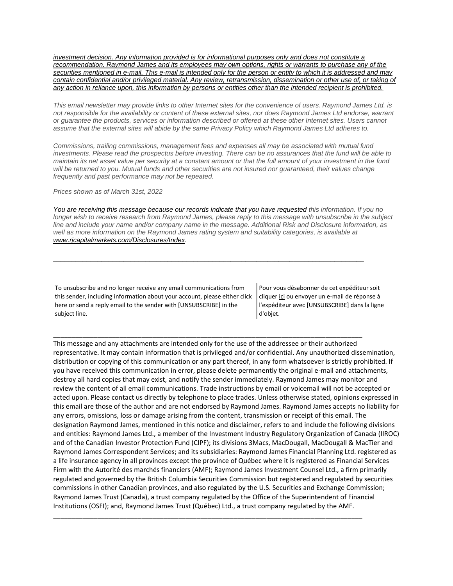*[investment decision. Any information provided is for informational purposes only and does not constitute a](https://na01.safelinks.protection.outlook.com/?url=https%3A%2F%2Furldefense.proofpoint.com%2Fv2%2Furl%3Fu%3Dhttps-3A__na01.safelinks.protection.outlook.com_-3Furl-3Dhttps-253A-252F-252Furldefense.proofpoint.com-252Fv2-252Furl-253Fu-253Dhttps-2D3A-5F-5Fnam11.safelinks.protection.outlook.com-5F-2D3Furl-2D3Dhttps-2D253A-2D252F-2D252Fowa-2D2Dkel.raymondjames.ca-2D252Fowa-2D252Fredir.aspx-2D253FSURL-2D253Dz0BxOCXDlQ-2D2DAad1f-2D5Fa9igaARxm5Rd1VXE7UcmD4mZ3IZiacj7DPTCG0AYQBpAGwAdABvADoAcABhAHUAbAAuAHMAaQBsAHUAYwBoAEAAcgBhAHkAbQBvAG4AZABqAGEAbQBlAHMALgBjAGEA-2D2526URL-2D253Dmailto-2D25253apaul.siluch-2D252540raymondjames.ca-2D26data-2D3D02-2D257C01-2D257C-2D257Cc172461ecbee4482512908d85e8192cf-2D257C84df9e7fe9f640afb435aaaaaaaaaaaa-2D257C1-2D257C0-2D257C637363258183645669-2D26sdata-2D3DjKvjWtH2krR43u3J3z5Cv9nHD0QMiBAUf4SY0jMfuYE-2D253D-2D26reserved-2D3D0-2526d-253DDwMF-2Dg-2526c-253DK3dQCUGiI1B95NJ6cl3GoyhMW2dvBOfimZA-2D83UXll0-2526r-253D-5F6MBBSGYsFznIBwslhTiqBKEz4pHUCTd-5F9tbh-5FEpUMY-2526m-253D7qOaEnVxLdGuCP74qXGTNk9xkBSFm8R3CYYmRfTv9PQ-2526s-253Dm8uHgNiRKEtIPVRoT8MsE-2DO97e6Q7JVm8rnhQdyv494-2526e-253D-26data-3D04-257C01-257C-257Cd7befaa6204e4970b3c708d940d9c59b-257C84df9e7fe9f640afb435aaaaaaaaaaaa-257C1-257C0-257C637612126570797642-257CUnknown-257CTWFpbGZsb3d8eyJWIjoiMC4wLjAwMDAiLCJQIjoiV2luMzIiLCJBTiI6Ik1haWwiLCJXVCI6Mn0-253D-257C1000-26sdata-3Dl9-252FvkX2Z97-252FYx3-252FH5lu-252F34o-252B-252BoQHQnEbtpxd-252FTqqdVE-253D-26reserved-3D0%26d%3DDwMGaQ%26c%3D6lBq1l7u-nYp55J7Pl8O6Ib5YT4g76ov0zCpXQrgS5M%26r%3DTmDOHaoWW3RetfvnGoPae_UczKZXXQgvJPe_P66GVYI%26m%3DHg8p8oxWBi-8j3HS2BzGxBvIXidcreERuI3mj9N1_KY%26s%3DlZb8JuoyZ_axPEXYAs2K8KPGqV8PNgyOIrD4K9Cf6x8%26e%3D&data=04%7C01%7C%7C96eb5c23f77d45400b0d08d9c04986b6%7C84df9e7fe9f640afb435aaaaaaaaaaaa%7C1%7C0%7C637752244322551095%7CUnknown%7CTWFpbGZsb3d8eyJWIjoiMC4wLjAwMDAiLCJQIjoiV2luMzIiLCJBTiI6Ik1haWwiLCJXVCI6Mn0%3D%7C3000&sdata=0N%2FKMRhJBPZcqlFDlt0B2iha1Sofl5j030YQWQxtAs0%3D&reserved=0)  [recommendation. Raymond James and its employees may own options, rights or warrants to purchase any of the](https://na01.safelinks.protection.outlook.com/?url=https%3A%2F%2Furldefense.proofpoint.com%2Fv2%2Furl%3Fu%3Dhttps-3A__na01.safelinks.protection.outlook.com_-3Furl-3Dhttps-253A-252F-252Furldefense.proofpoint.com-252Fv2-252Furl-253Fu-253Dhttps-2D3A-5F-5Fnam11.safelinks.protection.outlook.com-5F-2D3Furl-2D3Dhttps-2D253A-2D252F-2D252Fowa-2D2Dkel.raymondjames.ca-2D252Fowa-2D252Fredir.aspx-2D253FSURL-2D253Dz0BxOCXDlQ-2D2DAad1f-2D5Fa9igaARxm5Rd1VXE7UcmD4mZ3IZiacj7DPTCG0AYQBpAGwAdABvADoAcABhAHUAbAAuAHMAaQBsAHUAYwBoAEAAcgBhAHkAbQBvAG4AZABqAGEAbQBlAHMALgBjAGEA-2D2526URL-2D253Dmailto-2D25253apaul.siluch-2D252540raymondjames.ca-2D26data-2D3D02-2D257C01-2D257C-2D257Cc172461ecbee4482512908d85e8192cf-2D257C84df9e7fe9f640afb435aaaaaaaaaaaa-2D257C1-2D257C0-2D257C637363258183645669-2D26sdata-2D3DjKvjWtH2krR43u3J3z5Cv9nHD0QMiBAUf4SY0jMfuYE-2D253D-2D26reserved-2D3D0-2526d-253DDwMF-2Dg-2526c-253DK3dQCUGiI1B95NJ6cl3GoyhMW2dvBOfimZA-2D83UXll0-2526r-253D-5F6MBBSGYsFznIBwslhTiqBKEz4pHUCTd-5F9tbh-5FEpUMY-2526m-253D7qOaEnVxLdGuCP74qXGTNk9xkBSFm8R3CYYmRfTv9PQ-2526s-253Dm8uHgNiRKEtIPVRoT8MsE-2DO97e6Q7JVm8rnhQdyv494-2526e-253D-26data-3D04-257C01-257C-257Cd7befaa6204e4970b3c708d940d9c59b-257C84df9e7fe9f640afb435aaaaaaaaaaaa-257C1-257C0-257C637612126570797642-257CUnknown-257CTWFpbGZsb3d8eyJWIjoiMC4wLjAwMDAiLCJQIjoiV2luMzIiLCJBTiI6Ik1haWwiLCJXVCI6Mn0-253D-257C1000-26sdata-3Dl9-252FvkX2Z97-252FYx3-252FH5lu-252F34o-252B-252BoQHQnEbtpxd-252FTqqdVE-253D-26reserved-3D0%26d%3DDwMGaQ%26c%3D6lBq1l7u-nYp55J7Pl8O6Ib5YT4g76ov0zCpXQrgS5M%26r%3DTmDOHaoWW3RetfvnGoPae_UczKZXXQgvJPe_P66GVYI%26m%3DHg8p8oxWBi-8j3HS2BzGxBvIXidcreERuI3mj9N1_KY%26s%3DlZb8JuoyZ_axPEXYAs2K8KPGqV8PNgyOIrD4K9Cf6x8%26e%3D&data=04%7C01%7C%7C96eb5c23f77d45400b0d08d9c04986b6%7C84df9e7fe9f640afb435aaaaaaaaaaaa%7C1%7C0%7C637752244322551095%7CUnknown%7CTWFpbGZsb3d8eyJWIjoiMC4wLjAwMDAiLCJQIjoiV2luMzIiLCJBTiI6Ik1haWwiLCJXVCI6Mn0%3D%7C3000&sdata=0N%2FKMRhJBPZcqlFDlt0B2iha1Sofl5j030YQWQxtAs0%3D&reserved=0)  [securities mentioned in e-mail. This e-mail is intended only for the person or entity to which it is addressed and may](https://na01.safelinks.protection.outlook.com/?url=https%3A%2F%2Furldefense.proofpoint.com%2Fv2%2Furl%3Fu%3Dhttps-3A__na01.safelinks.protection.outlook.com_-3Furl-3Dhttps-253A-252F-252Furldefense.proofpoint.com-252Fv2-252Furl-253Fu-253Dhttps-2D3A-5F-5Fnam11.safelinks.protection.outlook.com-5F-2D3Furl-2D3Dhttps-2D253A-2D252F-2D252Fowa-2D2Dkel.raymondjames.ca-2D252Fowa-2D252Fredir.aspx-2D253FSURL-2D253Dz0BxOCXDlQ-2D2DAad1f-2D5Fa9igaARxm5Rd1VXE7UcmD4mZ3IZiacj7DPTCG0AYQBpAGwAdABvADoAcABhAHUAbAAuAHMAaQBsAHUAYwBoAEAAcgBhAHkAbQBvAG4AZABqAGEAbQBlAHMALgBjAGEA-2D2526URL-2D253Dmailto-2D25253apaul.siluch-2D252540raymondjames.ca-2D26data-2D3D02-2D257C01-2D257C-2D257Cc172461ecbee4482512908d85e8192cf-2D257C84df9e7fe9f640afb435aaaaaaaaaaaa-2D257C1-2D257C0-2D257C637363258183645669-2D26sdata-2D3DjKvjWtH2krR43u3J3z5Cv9nHD0QMiBAUf4SY0jMfuYE-2D253D-2D26reserved-2D3D0-2526d-253DDwMF-2Dg-2526c-253DK3dQCUGiI1B95NJ6cl3GoyhMW2dvBOfimZA-2D83UXll0-2526r-253D-5F6MBBSGYsFznIBwslhTiqBKEz4pHUCTd-5F9tbh-5FEpUMY-2526m-253D7qOaEnVxLdGuCP74qXGTNk9xkBSFm8R3CYYmRfTv9PQ-2526s-253Dm8uHgNiRKEtIPVRoT8MsE-2DO97e6Q7JVm8rnhQdyv494-2526e-253D-26data-3D04-257C01-257C-257Cd7befaa6204e4970b3c708d940d9c59b-257C84df9e7fe9f640afb435aaaaaaaaaaaa-257C1-257C0-257C637612126570797642-257CUnknown-257CTWFpbGZsb3d8eyJWIjoiMC4wLjAwMDAiLCJQIjoiV2luMzIiLCJBTiI6Ik1haWwiLCJXVCI6Mn0-253D-257C1000-26sdata-3Dl9-252FvkX2Z97-252FYx3-252FH5lu-252F34o-252B-252BoQHQnEbtpxd-252FTqqdVE-253D-26reserved-3D0%26d%3DDwMGaQ%26c%3D6lBq1l7u-nYp55J7Pl8O6Ib5YT4g76ov0zCpXQrgS5M%26r%3DTmDOHaoWW3RetfvnGoPae_UczKZXXQgvJPe_P66GVYI%26m%3DHg8p8oxWBi-8j3HS2BzGxBvIXidcreERuI3mj9N1_KY%26s%3DlZb8JuoyZ_axPEXYAs2K8KPGqV8PNgyOIrD4K9Cf6x8%26e%3D&data=04%7C01%7C%7C96eb5c23f77d45400b0d08d9c04986b6%7C84df9e7fe9f640afb435aaaaaaaaaaaa%7C1%7C0%7C637752244322551095%7CUnknown%7CTWFpbGZsb3d8eyJWIjoiMC4wLjAwMDAiLCJQIjoiV2luMzIiLCJBTiI6Ik1haWwiLCJXVCI6Mn0%3D%7C3000&sdata=0N%2FKMRhJBPZcqlFDlt0B2iha1Sofl5j030YQWQxtAs0%3D&reserved=0)  [contain confidential and/or privileged material. Any review, retransmission, dissemination or other use of, or taking of](https://na01.safelinks.protection.outlook.com/?url=https%3A%2F%2Furldefense.proofpoint.com%2Fv2%2Furl%3Fu%3Dhttps-3A__na01.safelinks.protection.outlook.com_-3Furl-3Dhttps-253A-252F-252Furldefense.proofpoint.com-252Fv2-252Furl-253Fu-253Dhttps-2D3A-5F-5Fnam11.safelinks.protection.outlook.com-5F-2D3Furl-2D3Dhttps-2D253A-2D252F-2D252Fowa-2D2Dkel.raymondjames.ca-2D252Fowa-2D252Fredir.aspx-2D253FSURL-2D253Dz0BxOCXDlQ-2D2DAad1f-2D5Fa9igaARxm5Rd1VXE7UcmD4mZ3IZiacj7DPTCG0AYQBpAGwAdABvADoAcABhAHUAbAAuAHMAaQBsAHUAYwBoAEAAcgBhAHkAbQBvAG4AZABqAGEAbQBlAHMALgBjAGEA-2D2526URL-2D253Dmailto-2D25253apaul.siluch-2D252540raymondjames.ca-2D26data-2D3D02-2D257C01-2D257C-2D257Cc172461ecbee4482512908d85e8192cf-2D257C84df9e7fe9f640afb435aaaaaaaaaaaa-2D257C1-2D257C0-2D257C637363258183645669-2D26sdata-2D3DjKvjWtH2krR43u3J3z5Cv9nHD0QMiBAUf4SY0jMfuYE-2D253D-2D26reserved-2D3D0-2526d-253DDwMF-2Dg-2526c-253DK3dQCUGiI1B95NJ6cl3GoyhMW2dvBOfimZA-2D83UXll0-2526r-253D-5F6MBBSGYsFznIBwslhTiqBKEz4pHUCTd-5F9tbh-5FEpUMY-2526m-253D7qOaEnVxLdGuCP74qXGTNk9xkBSFm8R3CYYmRfTv9PQ-2526s-253Dm8uHgNiRKEtIPVRoT8MsE-2DO97e6Q7JVm8rnhQdyv494-2526e-253D-26data-3D04-257C01-257C-257Cd7befaa6204e4970b3c708d940d9c59b-257C84df9e7fe9f640afb435aaaaaaaaaaaa-257C1-257C0-257C637612126570797642-257CUnknown-257CTWFpbGZsb3d8eyJWIjoiMC4wLjAwMDAiLCJQIjoiV2luMzIiLCJBTiI6Ik1haWwiLCJXVCI6Mn0-253D-257C1000-26sdata-3Dl9-252FvkX2Z97-252FYx3-252FH5lu-252F34o-252B-252BoQHQnEbtpxd-252FTqqdVE-253D-26reserved-3D0%26d%3DDwMGaQ%26c%3D6lBq1l7u-nYp55J7Pl8O6Ib5YT4g76ov0zCpXQrgS5M%26r%3DTmDOHaoWW3RetfvnGoPae_UczKZXXQgvJPe_P66GVYI%26m%3DHg8p8oxWBi-8j3HS2BzGxBvIXidcreERuI3mj9N1_KY%26s%3DlZb8JuoyZ_axPEXYAs2K8KPGqV8PNgyOIrD4K9Cf6x8%26e%3D&data=04%7C01%7C%7C96eb5c23f77d45400b0d08d9c04986b6%7C84df9e7fe9f640afb435aaaaaaaaaaaa%7C1%7C0%7C637752244322551095%7CUnknown%7CTWFpbGZsb3d8eyJWIjoiMC4wLjAwMDAiLCJQIjoiV2luMzIiLCJBTiI6Ik1haWwiLCJXVCI6Mn0%3D%7C3000&sdata=0N%2FKMRhJBPZcqlFDlt0B2iha1Sofl5j030YQWQxtAs0%3D&reserved=0)  [any action in reliance upon, this information by persons or entities other than the intended recipient is prohibited.](https://na01.safelinks.protection.outlook.com/?url=https%3A%2F%2Furldefense.proofpoint.com%2Fv2%2Furl%3Fu%3Dhttps-3A__na01.safelinks.protection.outlook.com_-3Furl-3Dhttps-253A-252F-252Furldefense.proofpoint.com-252Fv2-252Furl-253Fu-253Dhttps-2D3A-5F-5Fnam11.safelinks.protection.outlook.com-5F-2D3Furl-2D3Dhttps-2D253A-2D252F-2D252Fowa-2D2Dkel.raymondjames.ca-2D252Fowa-2D252Fredir.aspx-2D253FSURL-2D253Dz0BxOCXDlQ-2D2DAad1f-2D5Fa9igaARxm5Rd1VXE7UcmD4mZ3IZiacj7DPTCG0AYQBpAGwAdABvADoAcABhAHUAbAAuAHMAaQBsAHUAYwBoAEAAcgBhAHkAbQBvAG4AZABqAGEAbQBlAHMALgBjAGEA-2D2526URL-2D253Dmailto-2D25253apaul.siluch-2D252540raymondjames.ca-2D26data-2D3D02-2D257C01-2D257C-2D257Cc172461ecbee4482512908d85e8192cf-2D257C84df9e7fe9f640afb435aaaaaaaaaaaa-2D257C1-2D257C0-2D257C637363258183645669-2D26sdata-2D3DjKvjWtH2krR43u3J3z5Cv9nHD0QMiBAUf4SY0jMfuYE-2D253D-2D26reserved-2D3D0-2526d-253DDwMF-2Dg-2526c-253DK3dQCUGiI1B95NJ6cl3GoyhMW2dvBOfimZA-2D83UXll0-2526r-253D-5F6MBBSGYsFznIBwslhTiqBKEz4pHUCTd-5F9tbh-5FEpUMY-2526m-253D7qOaEnVxLdGuCP74qXGTNk9xkBSFm8R3CYYmRfTv9PQ-2526s-253Dm8uHgNiRKEtIPVRoT8MsE-2DO97e6Q7JVm8rnhQdyv494-2526e-253D-26data-3D04-257C01-257C-257Cd7befaa6204e4970b3c708d940d9c59b-257C84df9e7fe9f640afb435aaaaaaaaaaaa-257C1-257C0-257C637612126570797642-257CUnknown-257CTWFpbGZsb3d8eyJWIjoiMC4wLjAwMDAiLCJQIjoiV2luMzIiLCJBTiI6Ik1haWwiLCJXVCI6Mn0-253D-257C1000-26sdata-3Dl9-252FvkX2Z97-252FYx3-252FH5lu-252F34o-252B-252BoQHQnEbtpxd-252FTqqdVE-253D-26reserved-3D0%26d%3DDwMGaQ%26c%3D6lBq1l7u-nYp55J7Pl8O6Ib5YT4g76ov0zCpXQrgS5M%26r%3DTmDOHaoWW3RetfvnGoPae_UczKZXXQgvJPe_P66GVYI%26m%3DHg8p8oxWBi-8j3HS2BzGxBvIXidcreERuI3mj9N1_KY%26s%3DlZb8JuoyZ_axPEXYAs2K8KPGqV8PNgyOIrD4K9Cf6x8%26e%3D&data=04%7C01%7C%7C96eb5c23f77d45400b0d08d9c04986b6%7C84df9e7fe9f640afb435aaaaaaaaaaaa%7C1%7C0%7C637752244322551095%7CUnknown%7CTWFpbGZsb3d8eyJWIjoiMC4wLjAwMDAiLCJQIjoiV2luMzIiLCJBTiI6Ik1haWwiLCJXVCI6Mn0%3D%7C3000&sdata=0N%2FKMRhJBPZcqlFDlt0B2iha1Sofl5j030YQWQxtAs0%3D&reserved=0)* 

*This email newsletter may provide links to other Internet sites for the convenience of users. Raymond James Ltd. is not responsible for the availability or content of these external sites, nor does Raymond James Ltd endorse, warrant or guarantee the products, services or information described or offered at these other Internet sites. Users cannot assume that the external sites will abide by the same Privacy Policy which Raymond James Ltd adheres to.*

*Commissions, trailing commissions, management fees and expenses all may be associated with mutual fund investments. Please read the prospectus before investing. There can be no assurances that the fund will be able to maintain its net asset value per security at a constant amount or that the full amount of your investment in the fund*  will be returned to you. Mutual funds and other securities are not insured nor guaranteed, their values change *frequently and past performance may not be repeated.*

*Prices shown as of March 31st, 2022*

*You are receiving this message because our records indicate that you have requested this information. If you no longer wish to receive research from Raymond James, please reply to this message with unsubscribe in the subject line and include your name and/or company name in the message. Additional Risk and Disclosure information, as well as more information on the Raymond James rating system and suitability categories, is available at [www.rjcapitalmarkets.com/Disclosures/Index.](https://na01.safelinks.protection.outlook.com/?url=https%3A%2F%2Furldefense.proofpoint.com%2Fv2%2Furl%3Fu%3Dhttps-3A__na01.safelinks.protection.outlook.com_-3Furl-3Dhttps-253A-252F-252Furldefense.proofpoint.com-252Fv2-252Furl-253Fu-253Dhttps-2D3A-5F-5Fnam11.safelinks.protection.outlook.com-5F-2D3Furl-2D3Dhttps-2D253A-2D252F-2D252Fowa-2D2Dkel.raymondjames.ca-2D252Fowa-2D252Fredir.aspx-2D253FSURL-2D253DxhOB4gpVfLOskwdkUL9L2f18Fq4IG2rgvMfuIIX7BlwZiacj7DPTCGgAdAB0AHAAOgAvAC8AdwB3AHcALgByAGoAYwBhAHAAaQB0AGEAbABtAGEAcgBrAGUAdABzAC4AYwBvAG0ALwBEAGkAcwBjAGwAbwBzAHUAcgBlAHMALwBJAG4AZABlAHgA-2D2526URL-2D253Dhttp-2D25253a-2D25252f-2D25252fwww.rjcapitalmarkets.com-2D25252fDisclosures-2D25252fIndex-2D26data-2D3D02-2D257C01-2D257C-2D257Cc172461ecbee4482512908d85e8192cf-2D257C84df9e7fe9f640afb435aaaaaaaaaaaa-2D257C1-2D257C0-2D257C637363258183655664-2D26sdata-2D3DoIGN-2D252B1v-2D252BJNQ-2D252BZPo1ywEHtDOfbELe3OmLG-2D252FFg-2D252FM3Utoc-2D253D-2D26reserved-2D3D0-2526d-253DDwMF-2Dg-2526c-253DK3dQCUGiI1B95NJ6cl3GoyhMW2dvBOfimZA-2D83UXll0-2526r-253D-5F6MBBSGYsFznIBwslhTiqBKEz4pHUCTd-5F9tbh-5FEpUMY-2526m-253D7qOaEnVxLdGuCP74qXGTNk9xkBSFm8R3CYYmRfTv9PQ-2526s-253DDBdK-5FpzBuQHicYmhkDa-2D8JlRVcVl-2Doi24aL-5FwseaH40-2526e-253D-26data-3D04-257C01-257C-257Cd7befaa6204e4970b3c708d940d9c59b-257C84df9e7fe9f640afb435aaaaaaaaaaaa-257C1-257C0-257C637612126570807637-257CUnknown-257CTWFpbGZsb3d8eyJWIjoiMC4wLjAwMDAiLCJQIjoiV2luMzIiLCJBTiI6Ik1haWwiLCJXVCI6Mn0-253D-257C1000-26sdata-3D42WFytg2nJigwFv25rXxW91ml6-252BCn4KvME5M-252BcAoInY-253D-26reserved-3D0%26d%3DDwMGaQ%26c%3D6lBq1l7u-nYp55J7Pl8O6Ib5YT4g76ov0zCpXQrgS5M%26r%3DTmDOHaoWW3RetfvnGoPae_UczKZXXQgvJPe_P66GVYI%26m%3DHg8p8oxWBi-8j3HS2BzGxBvIXidcreERuI3mj9N1_KY%26s%3DyWJS6c4Wff_BUzjMT1YI3oJyIFTiCn7WNVr3YMhaYIk%26e%3D&data=04%7C01%7C%7C96eb5c23f77d45400b0d08d9c04986b6%7C84df9e7fe9f640afb435aaaaaaaaaaaa%7C1%7C0%7C637752244322551095%7CUnknown%7CTWFpbGZsb3d8eyJWIjoiMC4wLjAwMDAiLCJQIjoiV2luMzIiLCJBTiI6Ik1haWwiLCJXVCI6Mn0%3D%7C3000&sdata=R1xNHlifVL9q98WWY4zcCppeqV3XYKc1KhVRqUvJCXo%3D&reserved=0)*

\_\_\_\_\_\_\_\_\_\_\_\_\_\_\_\_\_\_\_\_\_\_\_\_\_\_\_\_\_\_\_\_\_\_\_\_\_\_\_\_\_\_\_\_\_\_\_\_\_\_\_\_\_\_\_\_\_\_\_\_\_\_\_\_\_\_\_\_\_\_\_\_\_\_\_\_\_\_\_\_\_\_\_\_

\_\_\_\_\_\_\_\_\_\_\_\_\_\_\_\_\_\_\_\_\_\_\_\_\_\_\_\_\_\_\_\_\_\_\_\_\_\_\_\_\_\_\_\_\_\_\_\_\_\_\_\_\_\_\_\_\_\_\_\_\_\_\_\_\_\_\_\_\_\_\_\_\_\_\_\_\_\_\_\_\_\_\_\_

To unsubscribe and no longer receive any email communications from this sender, including information about your account, please either click [here](mailto:paul.siluch@raymondjames.ca?subject=[UNSUBSCRIBE]&body=I%20wish%20to%20unsubscribe%20from%20all%20commercial%20electronic%20messages%20from%20this%20sender.%20%20There%20may%20be%20other%20employees%20or%20agents%20within%20Raymond%20James%20which%20communicate%20with%20me%20electronically%20and%20I%20understand%20that%20I%20may%20unsubscribe%20from%20these%20senders%20separately.) or send a reply email to the sender with [UNSUBSCRIBE] in the subject line.

Pour vous désabonner de cet expéditeur soit clique[r ici](mailto:paul.siluch@raymondjames.ca?subject=[UNSUBSCRIBE]&body=Je%20souhaite%20me%20désinscrire%20de%20tous%20les%20messages%20électroniques%20commerciaux.%20Il%20peut%20y%20avoir%20d) ou envoyer un e-mail de réponse à l'expéditeur avec [UNSUBSCRIBE] dans la ligne d'objet.

This message and any attachments are intended only for the use of the addressee or their authorized representative. It may contain information that is privileged and/or confidential. Any unauthorized dissemination, distribution or copying of this communication or any part thereof, in any form whatsoever is strictly prohibited. If you have received this communication in error, please delete permanently the original e-mail and attachments, destroy all hard copies that may exist, and notify the sender immediately. Raymond James may monitor and review the content of all email communications. Trade instructions by email or voicemail will not be accepted or acted upon. Please contact us directly by telephone to place trades. Unless otherwise stated, opinions expressed in this email are those of the author and are not endorsed by Raymond James. Raymond James accepts no liability for any errors, omissions, loss or damage arising from the content, transmission or receipt of this email. The designation Raymond James, mentioned in this notice and disclaimer, refers to and include the following divisions and entities: Raymond James Ltd., a member of the Investment Industry Regulatory Organization of Canada (IIROC) and of the Canadian Investor Protection Fund (CIPF); its divisions 3Macs, MacDougall, MacDougall & MacTier and Raymond James Correspondent Services; and its subsidiaries: Raymond James Financial Planning Ltd. registered as a life insurance agency in all provinces except the province of Québec where it is registered as Financial Services Firm with the Autorité des marchés financiers (AMF); Raymond James Investment Counsel Ltd., a firm primarily regulated and governed by the British Columbia Securities Commission but registered and regulated by securities commissions in other Canadian provinces, and also regulated by the U.S. Securities and Exchange Commission; Raymond James Trust (Canada), a trust company regulated by the Office of the Superintendent of Financial Institutions (OSFI); and, Raymond James Trust (Québec) Ltd., a trust company regulated by the AMF.

\_\_\_\_\_\_\_\_\_\_\_\_\_\_\_\_\_\_\_\_\_\_\_\_\_\_\_\_\_\_\_\_\_\_\_\_\_\_\_\_\_\_\_\_\_\_\_\_\_\_\_\_\_\_\_\_\_\_\_\_\_\_\_\_\_\_\_\_\_\_\_\_\_\_\_\_\_\_\_\_\_\_\_\_